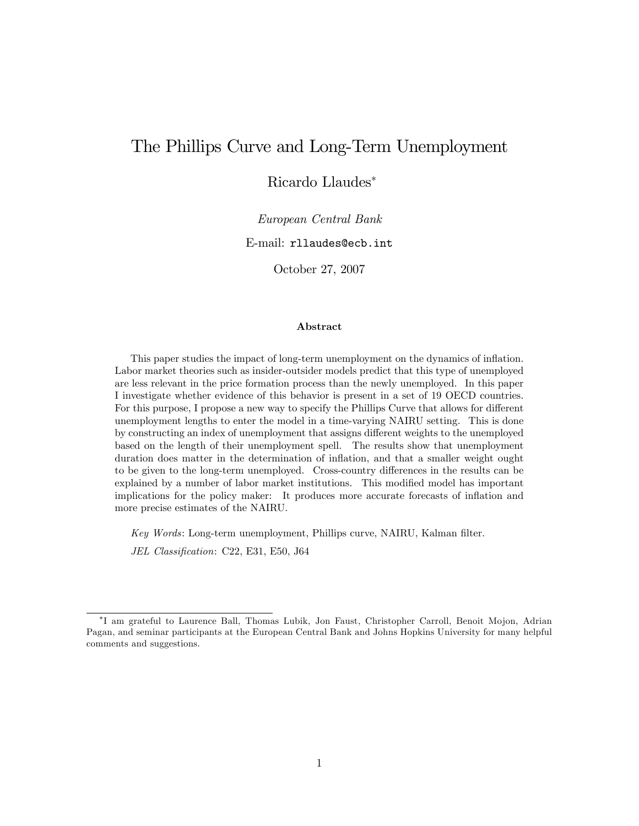# The Phillips Curve and Long-Term Unemployment

Ricardo Llaudes

European Central Bank

E-mail: rllaudes@ecb.int

October 27, 2007

#### Abstract

This paper studies the impact of long-term unemployment on the dynamics of ináation. Labor market theories such as insider-outsider models predict that this type of unemployed are less relevant in the price formation process than the newly unemployed. In this paper I investigate whether evidence of this behavior is present in a set of 19 OECD countries. For this purpose, I propose a new way to specify the Phillips Curve that allows for different unemployment lengths to enter the model in a time-varying NAIRU setting. This is done by constructing an index of unemployment that assigns different weights to the unemployed based on the length of their unemployment spell. The results show that unemployment duration does matter in the determination of inflation, and that a smaller weight ought to be given to the long-term unemployed. Cross-country differences in the results can be explained by a number of labor market institutions. This modified model has important implications for the policy maker: It produces more accurate forecasts of inflation and more precise estimates of the NAIRU.

Key Words: Long-term unemployment, Phillips curve, NAIRU, Kalman filter.

JEL Classification: C22, E31, E50, J64

I am grateful to Laurence Ball, Thomas Lubik, Jon Faust, Christopher Carroll, Benoit Mojon, Adrian Pagan, and seminar participants at the European Central Bank and Johns Hopkins University for many helpful comments and suggestions.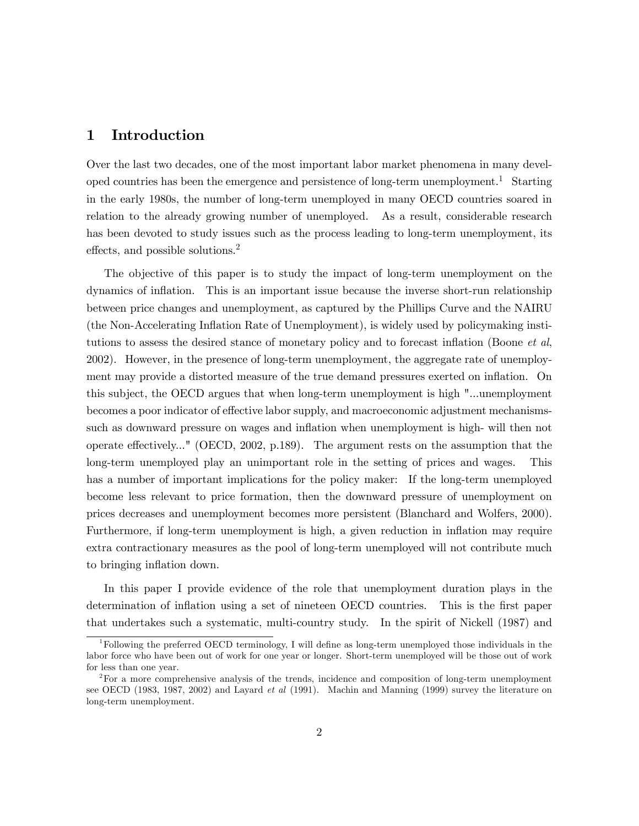# 1 Introduction

Over the last two decades, one of the most important labor market phenomena in many developed countries has been the emergence and persistence of long-term unemployment.<sup>1</sup> Starting in the early 1980s, the number of long-term unemployed in many OECD countries soared in relation to the already growing number of unemployed. As a result, considerable research has been devoted to study issues such as the process leading to long-term unemployment, its effects, and possible solutions.2

The objective of this paper is to study the impact of long-term unemployment on the dynamics of inflation. This is an important issue because the inverse short-run relationship between price changes and unemployment, as captured by the Phillips Curve and the NAIRU (the Non-Accelerating Inflation Rate of Unemployment), is widely used by policymaking institutions to assess the desired stance of monetary policy and to forecast inflation (Boone et al, 2002). However, in the presence of long-term unemployment, the aggregate rate of unemployment may provide a distorted measure of the true demand pressures exerted on inflation. On this subject, the OECD argues that when long-term unemployment is high "...unemployment becomes a poor indicator of effective labor supply, and macroeconomic adjustment mechanismssuch as downward pressure on wages and inflation when unemployment is high- will then not operate effectively..." (OECD, 2002, p.189). The argument rests on the assumption that the long-term unemployed play an unimportant role in the setting of prices and wages. This has a number of important implications for the policy maker: If the long-term unemployed become less relevant to price formation, then the downward pressure of unemployment on prices decreases and unemployment becomes more persistent (Blanchard and Wolfers, 2000). Furthermore, if long-term unemployment is high, a given reduction in inflation may require extra contractionary measures as the pool of long-term unemployed will not contribute much to bringing inflation down.

In this paper I provide evidence of the role that unemployment duration plays in the determination of inflation using a set of nineteen OECD countries. This is the first paper that undertakes such a systematic, multi-country study. In the spirit of Nickell (1987) and

 $1$ Following the preferred OECD terminology, I will define as long-term unemployed those individuals in the labor force who have been out of work for one year or longer. Short-term unemployed will be those out of work for less than one year.

<sup>&</sup>lt;sup>2</sup>For a more comprehensive analysis of the trends, incidence and composition of long-term unemployment see OECD (1983, 1987, 2002) and Layard *et al* (1991). Machin and Manning (1999) survey the literature on long-term unemployment.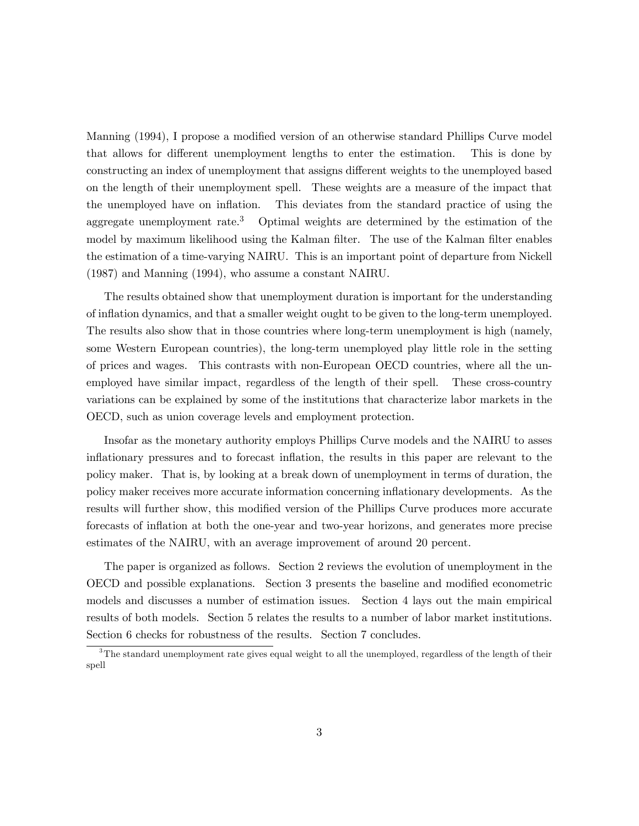Manning (1994), I propose a modified version of an otherwise standard Phillips Curve model that allows for different unemployment lengths to enter the estimation. This is done by constructing an index of unemployment that assigns different weights to the unemployed based on the length of their unemployment spell. These weights are a measure of the impact that the unemployed have on inflation. This deviates from the standard practice of using the aggregate unemployment rate.<sup>3</sup> Optimal weights are determined by the estimation of the model by maximum likelihood using the Kalman filter. The use of the Kalman filter enables the estimation of a time-varying NAIRU. This is an important point of departure from Nickell (1987) and Manning (1994), who assume a constant NAIRU.

The results obtained show that unemployment duration is important for the understanding of inflation dynamics, and that a smaller weight ought to be given to the long-term unemployed. The results also show that in those countries where long-term unemployment is high (namely, some Western European countries), the long-term unemployed play little role in the setting of prices and wages. This contrasts with non-European OECD countries, where all the unemployed have similar impact, regardless of the length of their spell. These cross-country variations can be explained by some of the institutions that characterize labor markets in the OECD, such as union coverage levels and employment protection.

Insofar as the monetary authority employs Phillips Curve models and the NAIRU to asses inflationary pressures and to forecast inflation, the results in this paper are relevant to the policy maker. That is, by looking at a break down of unemployment in terms of duration, the policy maker receives more accurate information concerning inflationary developments. As the results will further show, this modified version of the Phillips Curve produces more accurate forecasts of inflation at both the one-year and two-year horizons, and generates more precise estimates of the NAIRU, with an average improvement of around 20 percent.

The paper is organized as follows. Section 2 reviews the evolution of unemployment in the OECD and possible explanations. Section 3 presents the baseline and modified econometric models and discusses a number of estimation issues. Section 4 lays out the main empirical results of both models. Section 5 relates the results to a number of labor market institutions. Section 6 checks for robustness of the results. Section 7 concludes.

<sup>&</sup>lt;sup>3</sup>The standard unemployment rate gives equal weight to all the unemployed, regardless of the length of their spell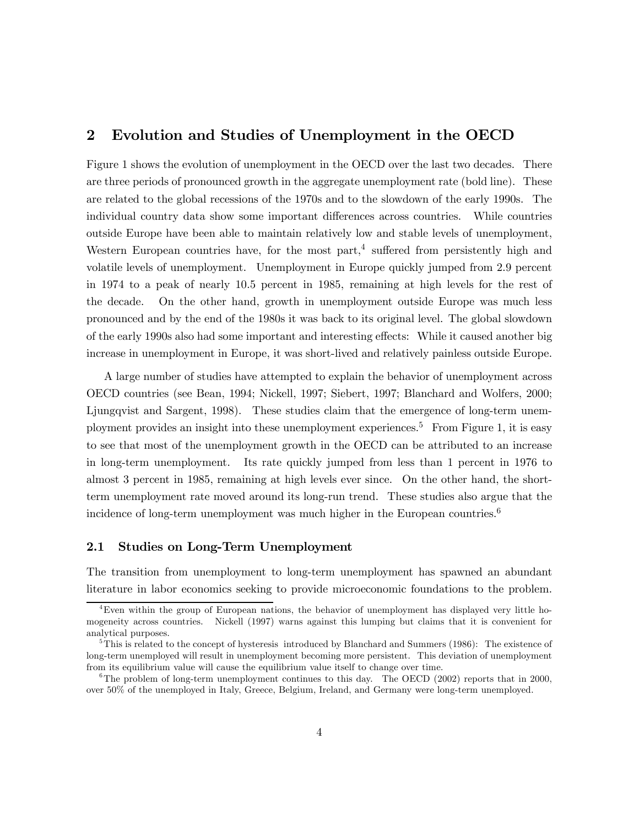# 2 Evolution and Studies of Unemployment in the OECD

Figure 1 shows the evolution of unemployment in the OECD over the last two decades. There are three periods of pronounced growth in the aggregate unemployment rate (bold line). These are related to the global recessions of the 1970s and to the slowdown of the early 1990s. The individual country data show some important differences across countries. While countries outside Europe have been able to maintain relatively low and stable levels of unemployment, Western European countries have, for the most part,<sup>4</sup> suffered from persistently high and volatile levels of unemployment. Unemployment in Europe quickly jumped from 2.9 percent in 1974 to a peak of nearly 10.5 percent in 1985, remaining at high levels for the rest of the decade. On the other hand, growth in unemployment outside Europe was much less pronounced and by the end of the 1980s it was back to its original level. The global slowdown of the early 1990s also had some important and interesting effects: While it caused another big increase in unemployment in Europe, it was short-lived and relatively painless outside Europe.

A large number of studies have attempted to explain the behavior of unemployment across OECD countries (see Bean, 1994; Nickell, 1997; Siebert, 1997; Blanchard and Wolfers, 2000; Ljungqvist and Sargent, 1998). These studies claim that the emergence of long-term unemployment provides an insight into these unemployment experiences.5 From Figure 1, it is easy to see that most of the unemployment growth in the OECD can be attributed to an increase in long-term unemployment. Its rate quickly jumped from less than 1 percent in 1976 to almost 3 percent in 1985, remaining at high levels ever since. On the other hand, the shortterm unemployment rate moved around its long-run trend. These studies also argue that the incidence of long-term unemployment was much higher in the European countries.<sup>6</sup>

#### 2.1 Studies on Long-Term Unemployment

The transition from unemployment to long-term unemployment has spawned an abundant literature in labor economics seeking to provide microeconomic foundations to the problem.

<sup>4</sup>Even within the group of European nations, the behavior of unemployment has displayed very little homogeneity across countries. Nickell (1997) warns against this lumping but claims that it is convenient for analytical purposes.

<sup>&</sup>lt;sup>5</sup>This is related to the concept of hysteresis introduced by Blanchard and Summers (1986): The existence of long-term unemployed will result in unemployment becoming more persistent. This deviation of unemployment from its equilibrium value will cause the equilibrium value itself to change over time.

<sup>&</sup>lt;sup>6</sup>The problem of long-term unemployment continues to this day. The OECD (2002) reports that in 2000, over 50% of the unemployed in Italy, Greece, Belgium, Ireland, and Germany were long-term unemployed.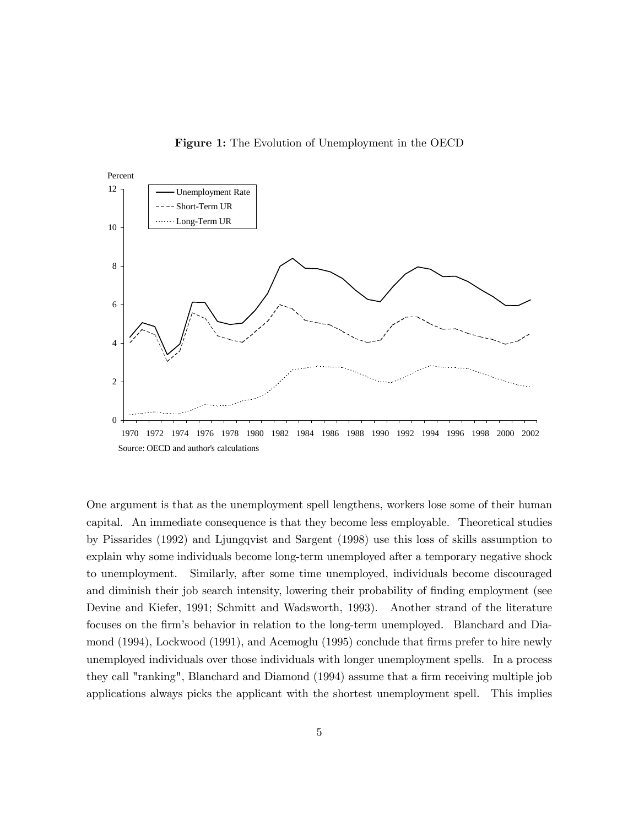Figure 1: The Evolution of Unemployment in the OECD



One argument is that as the unemployment spell lengthens, workers lose some of their human capital. An immediate consequence is that they become less employable. Theoretical studies by Pissarides (1992) and Ljungqvist and Sargent (1998) use this loss of skills assumption to explain why some individuals become long-term unemployed after a temporary negative shock to unemployment. Similarly, after some time unemployed, individuals become discouraged and diminish their job search intensity, lowering their probability of finding employment (see Devine and Kiefer, 1991; Schmitt and Wadsworth, 1993). Another strand of the literature focuses on the firm's behavior in relation to the long-term unemployed. Blanchard and Diamond (1994), Lockwood (1991), and Acemoglu (1995) conclude that firms prefer to hire newly unemployed individuals over those individuals with longer unemployment spells. In a process they call "ranking", Blanchard and Diamond (1994) assume that a firm receiving multiple job applications always picks the applicant with the shortest unemployment spell. This implies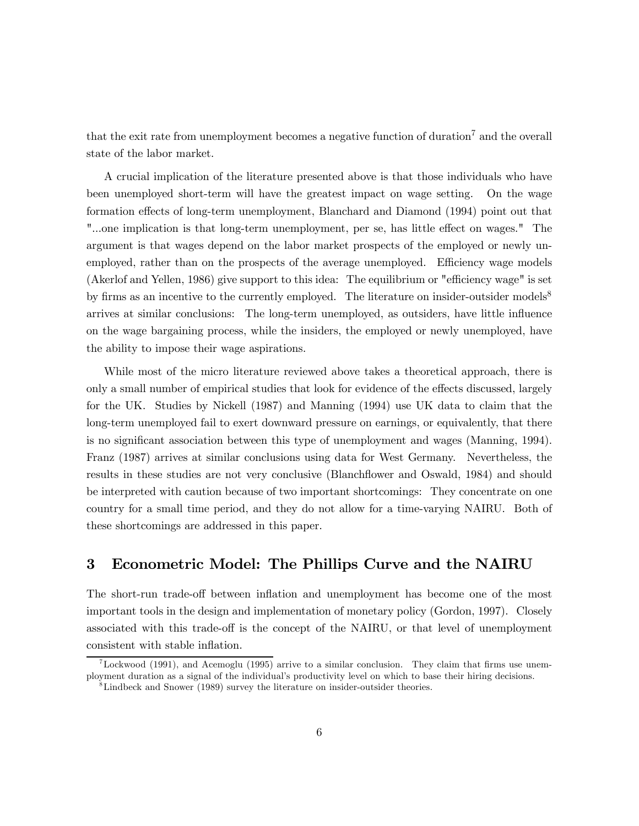that the exit rate from unemployment becomes a negative function of duration7 and the overall state of the labor market.

A crucial implication of the literature presented above is that those individuals who have been unemployed short-term will have the greatest impact on wage setting. On the wage formation effects of long-term unemployment, Blanchard and Diamond (1994) point out that "...one implication is that long-term unemployment, per se, has little effect on wages." The argument is that wages depend on the labor market prospects of the employed or newly unemployed, rather than on the prospects of the average unemployed. Efficiency wage models (Akerlof and Yellen, 1986) give support to this idea: The equilibrium or "efficiency wage" is set by firms as an incentive to the currently employed. The literature on insider-outsider models<sup>8</sup> arrives at similar conclusions: The long-term unemployed, as outsiders, have little influence on the wage bargaining process, while the insiders, the employed or newly unemployed, have the ability to impose their wage aspirations.

While most of the micro literature reviewed above takes a theoretical approach, there is only a small number of empirical studies that look for evidence of the effects discussed, largely for the UK. Studies by Nickell (1987) and Manning (1994) use UK data to claim that the long-term unemployed fail to exert downward pressure on earnings, or equivalently, that there is no significant association between this type of unemployment and wages (Manning, 1994). Franz (1987) arrives at similar conclusions using data for West Germany. Nevertheless, the results in these studies are not very conclusive (Blanchflower and Oswald, 1984) and should be interpreted with caution because of two important shortcomings: They concentrate on one country for a small time period, and they do not allow for a time-varying NAIRU. Both of these shortcomings are addressed in this paper.

# 3 Econometric Model: The Phillips Curve and the NAIRU

The short-run trade-off between inflation and unemployment has become one of the most important tools in the design and implementation of monetary policy (Gordon, 1997). Closely associated with this trade-off is the concept of the NAIRU, or that level of unemployment consistent with stable inflation.

<sup>&</sup>lt;sup>7</sup>Lockwood (1991), and Acemoglu (1995) arrive to a similar conclusion. They claim that firms use unemployment duration as a signal of the individual's productivity level on which to base their hiring decisions.

<sup>8</sup>Lindbeck and Snower (1989) survey the literature on insider-outsider theories.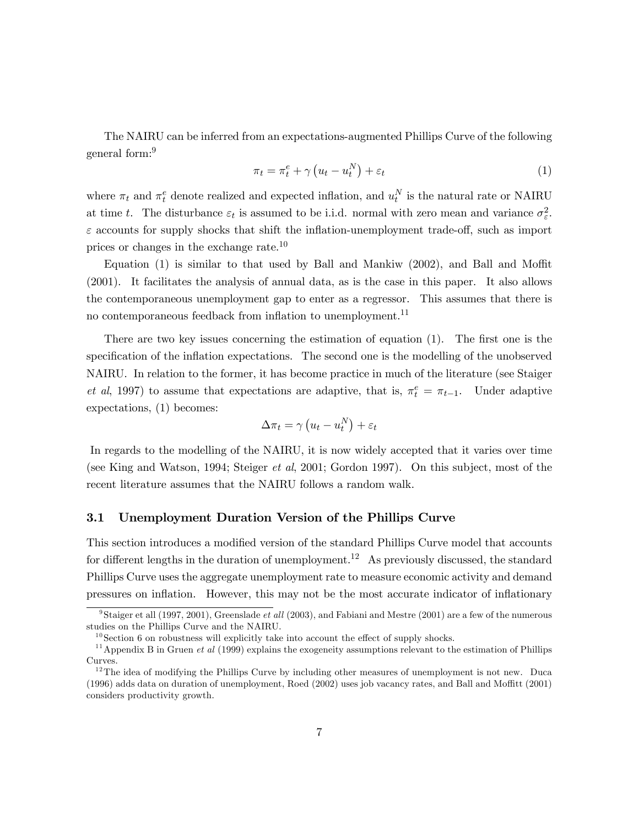The NAIRU can be inferred from an expectations-augmented Phillips Curve of the following general form:9

$$
\pi_t = \pi_t^e + \gamma \left( u_t - u_t^N \right) + \varepsilon_t \tag{1}
$$

where  $\pi_t$  and  $\pi_t^e$  denote realized and expected inflation, and  $u_t^N$  is the natural rate or NAIRU at time t. The disturbance  $\varepsilon_t$  is assumed to be i.i.d. normal with zero mean and variance  $\sigma_{\varepsilon}^2$ .  $\varepsilon$  accounts for supply shocks that shift the inflation-unemployment trade-off, such as import prices or changes in the exchange rate.10

Equation (1) is similar to that used by Ball and Mankiw (2002), and Ball and Moffit (2001). It facilitates the analysis of annual data, as is the case in this paper. It also allows the contemporaneous unemployment gap to enter as a regressor. This assumes that there is no contemporaneous feedback from inflation to unemployment.<sup>11</sup>

There are two key issues concerning the estimation of equation (1). The first one is the specification of the inflation expectations. The second one is the modelling of the unobserved NAIRU. In relation to the former, it has become practice in much of the literature (see Staiger *et al*, 1997) to assume that expectations are adaptive, that is,  $\pi_t^e = \pi_{t-1}$ . Under adaptive expectations, (1) becomes:

$$
\Delta \pi_t = \gamma \left( u_t - u_t^N \right) + \varepsilon_t
$$

In regards to the modelling of the NAIRU, it is now widely accepted that it varies over time (see King and Watson, 1994; Steiger et al, 2001; Gordon 1997). On this subject, most of the recent literature assumes that the NAIRU follows a random walk.

#### 3.1 Unemployment Duration Version of the Phillips Curve

This section introduces a modified version of the standard Phillips Curve model that accounts for different lengths in the duration of unemployment.<sup>12</sup> As previously discussed, the standard Phillips Curve uses the aggregate unemployment rate to measure economic activity and demand pressures on inflation. However, this may not be the most accurate indicator of inflationary

<sup>&</sup>lt;sup>9</sup>Staiger et all (1997, 2001), Greenslade *et all* (2003), and Fabiani and Mestre (2001) are a few of the numerous studies on the Phillips Curve and the NAIRU.

 $10$  Section 6 on robustness will explicitly take into account the effect of supply shocks.

<sup>&</sup>lt;sup>11</sup> Appendix B in Gruen *et al* (1999) explains the exogeneity assumptions relevant to the estimation of Phillips Curves.

 $12$ The idea of modifying the Phillips Curve by including other measures of unemployment is not new. Duca (1996) adds data on duration of unemployment, Roed (2002) uses job vacancy rates, and Ball and Moffitt (2001) considers productivity growth.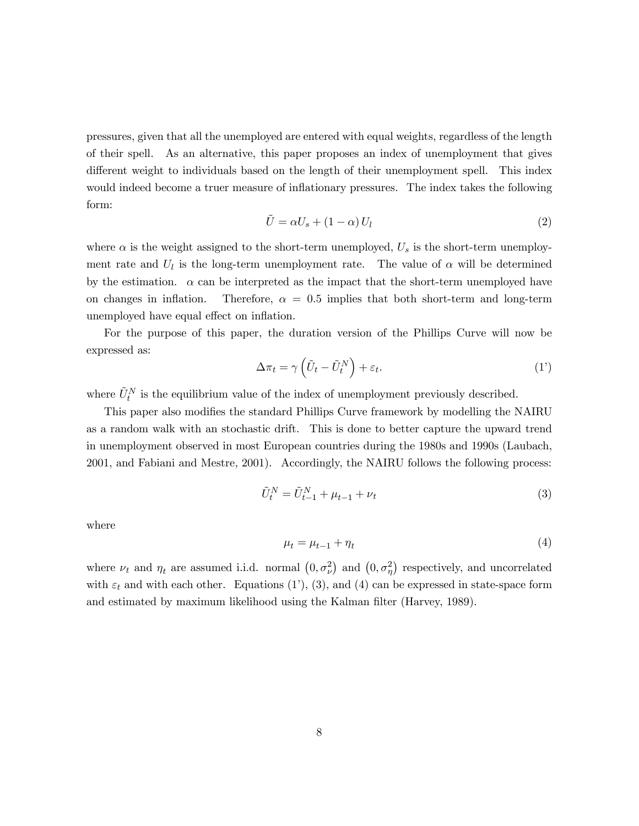pressures, given that all the unemployed are entered with equal weights, regardless of the length of their spell. As an alternative, this paper proposes an index of unemployment that gives different weight to individuals based on the length of their unemployment spell. This index would indeed become a truer measure of inflationary pressures. The index takes the following form:

$$
\tilde{U} = \alpha U_s + (1 - \alpha) U_l \tag{2}
$$

where  $\alpha$  is the weight assigned to the short-term unemployed,  $U_s$  is the short-term unemployment rate and  $U_l$  is the long-term unemployment rate. The value of  $\alpha$  will be determined by the estimation.  $\alpha$  can be interpreted as the impact that the short-term unemployed have on changes in inflation. Therefore,  $\alpha = 0.5$  implies that both short-term and long-term unemployed have equal effect on inflation.

For the purpose of this paper, the duration version of the Phillips Curve will now be expressed as:

$$
\Delta \pi_t = \gamma \left( \tilde{U}_t - \tilde{U}_t^N \right) + \varepsilon_t. \tag{1'}
$$

where  $\tilde{U}_t^N$  is the equilibrium value of the index of unemployment previously described.

This paper also modifies the standard Phillips Curve framework by modelling the NAIRU as a random walk with an stochastic drift. This is done to better capture the upward trend in unemployment observed in most European countries during the 1980s and 1990s (Laubach, 2001, and Fabiani and Mestre, 2001). Accordingly, the NAIRU follows the following process:

$$
\tilde{U}_t^N = \tilde{U}_{t-1}^N + \mu_{t-1} + \nu_t \tag{3}
$$

where

$$
\mu_t = \mu_{t-1} + \eta_t \tag{4}
$$

where  $\nu_t$  and  $\eta_t$  are assumed i.i.d. normal  $(0, \sigma_{\nu}^2)$  and  $(0, \sigma_{\eta}^2)$  respectively, and uncorrelated with  $\varepsilon_t$  and with each other. Equations (1'), (3), and (4) can be expressed in state-space form and estimated by maximum likelihood using the Kalman filter (Harvey, 1989).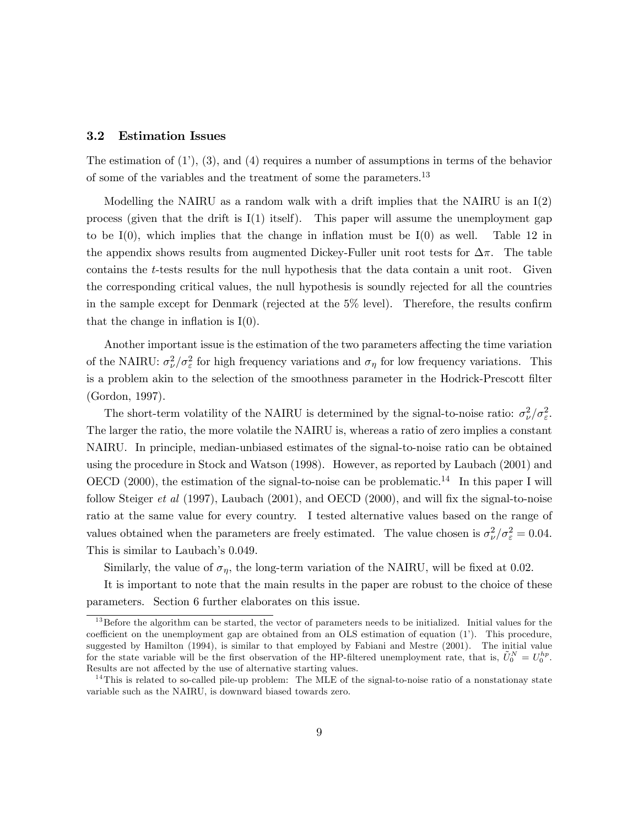#### 3.2 Estimation Issues

The estimation of  $(1')$ ,  $(3)$ , and  $(4)$  requires a number of assumptions in terms of the behavior of some of the variables and the treatment of some the parameters.13

Modelling the NAIRU as a random walk with a drift implies that the NAIRU is an  $I(2)$ process (given that the drift is  $I(1)$  itself). This paper will assume the unemployment gap to be  $I(0)$ , which implies that the change in inflation must be  $I(0)$  as well. Table 12 in the appendix shows results from augmented Dickey-Fuller unit root tests for  $\Delta \pi$ . The table contains the t-tests results for the null hypothesis that the data contain a unit root. Given the corresponding critical values, the null hypothesis is soundly rejected for all the countries in the sample except for Denmark (rejected at the 5% level). Therefore, the results confirm that the change in inflation is  $I(0)$ .

Another important issue is the estimation of the two parameters affecting the time variation of the NAIRU:  $\sigma_{\nu}^2/\sigma_{\varepsilon}^2$  for high frequency variations and  $\sigma_{\eta}$  for low frequency variations. This is a problem akin to the selection of the smoothness parameter in the Hodrick-Prescott filter (Gordon, 1997).

The short-term volatility of the NAIRU is determined by the signal-to-noise ratio:  $\sigma_{\nu}^2/\sigma_{\varepsilon}^2$ . The larger the ratio, the more volatile the NAIRU is, whereas a ratio of zero implies a constant NAIRU. In principle, median-unbiased estimates of the signal-to-noise ratio can be obtained using the procedure in Stock and Watson (1998). However, as reported by Laubach (2001) and OECD (2000), the estimation of the signal-to-noise can be problematic.<sup>14</sup> In this paper I will follow Steiger et al (1997), Laubach (2001), and OECD (2000), and will fix the signal-to-noise ratio at the same value for every country. I tested alternative values based on the range of values obtained when the parameters are freely estimated. The value chosen is  $\sigma_{\nu}^2/\sigma_{\epsilon}^2 = 0.04$ . This is similar to Laubach's 0.049.

Similarly, the value of  $\sigma_{\eta}$ , the long-term variation of the NAIRU, will be fixed at 0.02.

It is important to note that the main results in the paper are robust to the choice of these parameters. Section 6 further elaborates on this issue.

 $13$  Before the algorithm can be started, the vector of parameters needs to be initialized. Initial values for the coefficient on the unemployment gap are obtained from an OLS estimation of equation (1'). This procedure, suggested by Hamilton (1994), is similar to that employed by Fabiani and Mestre (2001). The initial value for the state variable will be the first observation of the HP-filtered unemployment rate, that is,  $\tilde{U}_0^N = U_0^{hp}$ . Results are not affected by the use of alternative starting values.

 $14$ This is related to so-called pile-up problem: The MLE of the signal-to-noise ratio of a nonstationay state variable such as the NAIRU, is downward biased towards zero.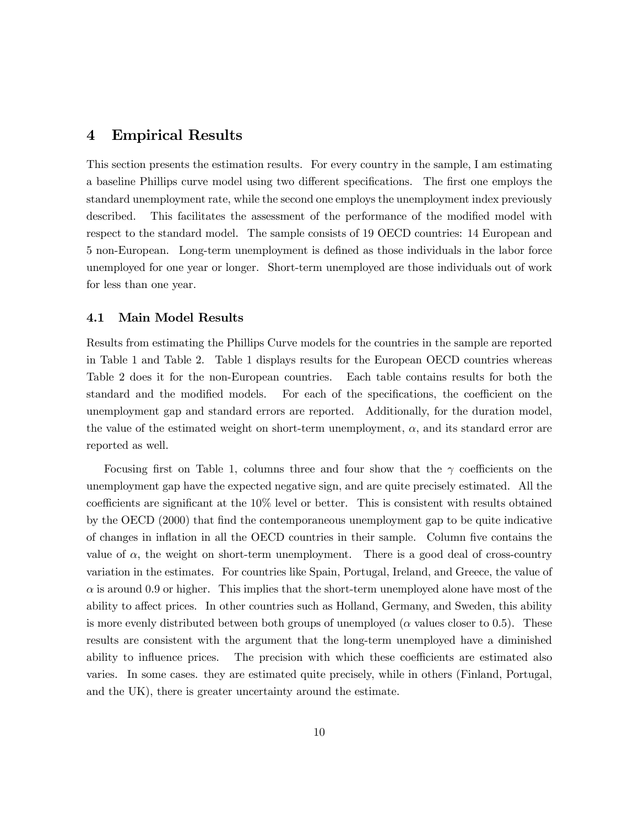## 4 Empirical Results

This section presents the estimation results. For every country in the sample, I am estimating a baseline Phillips curve model using two different specifications. The first one employs the standard unemployment rate, while the second one employs the unemployment index previously described. This facilitates the assessment of the performance of the modified model with respect to the standard model. The sample consists of 19 OECD countries: 14 European and 5 non-European. Long-term unemployment is defined as those individuals in the labor force unemployed for one year or longer. Short-term unemployed are those individuals out of work for less than one year.

#### 4.1 Main Model Results

Results from estimating the Phillips Curve models for the countries in the sample are reported in Table 1 and Table 2. Table 1 displays results for the European OECD countries whereas Table 2 does it for the non-European countries. Each table contains results for both the standard and the modified models. For each of the specifications, the coefficient on the unemployment gap and standard errors are reported. Additionally, for the duration model, the value of the estimated weight on short-term unemployment,  $\alpha$ , and its standard error are reported as well.

Focusing first on Table 1, columns three and four show that the  $\gamma$  coefficients on the unemployment gap have the expected negative sign, and are quite precisely estimated. All the coefficients are significant at the 10% level or better. This is consistent with results obtained by the OECD (2000) that find the contemporaneous unemployment gap to be quite indicative of changes in inflation in all the OECD countries in their sample. Column five contains the value of  $\alpha$ , the weight on short-term unemployment. There is a good deal of cross-country variation in the estimates. For countries like Spain, Portugal, Ireland, and Greece, the value of  $\alpha$  is around 0.9 or higher. This implies that the short-term unemployed alone have most of the ability to affect prices. In other countries such as Holland, Germany, and Sweden, this ability is more evenly distributed between both groups of unemployed ( $\alpha$  values closer to 0.5). These results are consistent with the argument that the long-term unemployed have a diminished ability to influence prices. The precision with which these coefficients are estimated also varies. In some cases. they are estimated quite precisely, while in others (Finland, Portugal, and the UK), there is greater uncertainty around the estimate.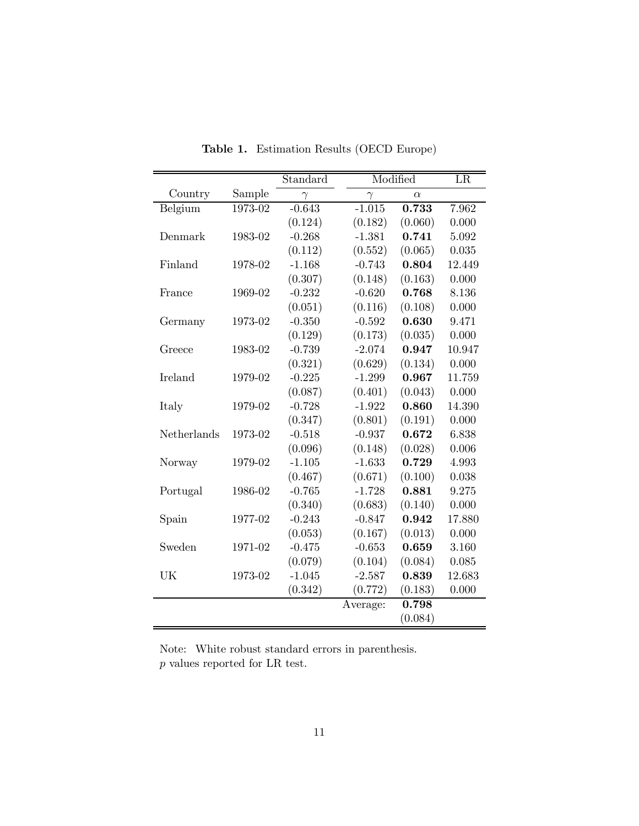|             |         | Standard |          | Modified | LR     |
|-------------|---------|----------|----------|----------|--------|
| Country     | Sample  | $\gamma$ | $\gamma$ | $\alpha$ |        |
| Belgium     | 1973-02 | $-0.643$ | $-1.015$ | 0.733    | 7.962  |
|             |         | (0.124)  | (0.182)  | (0.060)  | 0.000  |
| Denmark     | 1983-02 | $-0.268$ | $-1.381$ | 0.741    | 5.092  |
|             |         | (0.112)  | (0.552)  | (0.065)  | 0.035  |
| Finland     | 1978-02 | $-1.168$ | $-0.743$ | 0.804    | 12.449 |
|             |         | (0.307)  | (0.148)  | (0.163)  | 0.000  |
| France      | 1969-02 | $-0.232$ | $-0.620$ | 0.768    | 8.136  |
|             |         | (0.051)  | (0.116)  | (0.108)  | 0.000  |
| Germany     | 1973-02 | $-0.350$ | $-0.592$ | 0.630    | 9.471  |
|             |         | (0.129)  | (0.173)  | (0.035)  | 0.000  |
| Greece      | 1983-02 | $-0.739$ | $-2.074$ | 0.947    | 10.947 |
|             |         | (0.321)  | (0.629)  | (0.134)  | 0.000  |
| Ireland     | 1979-02 | $-0.225$ | $-1.299$ | 0.967    | 11.759 |
|             |         | (0.087)  | (0.401)  | (0.043)  | 0.000  |
| Italy       | 1979-02 | $-0.728$ | $-1.922$ | 0.860    | 14.390 |
|             |         | (0.347)  | (0.801)  | (0.191)  | 0.000  |
| Netherlands | 1973-02 | $-0.518$ | $-0.937$ | 0.672    | 6.838  |
|             |         | (0.096)  | (0.148)  | (0.028)  | 0.006  |
| Norway      | 1979-02 | $-1.105$ | $-1.633$ | 0.729    | 4.993  |
|             |         | (0.467)  | (0.671)  | (0.100)  | 0.038  |
| Portugal    | 1986-02 | $-0.765$ | $-1.728$ | 0.881    | 9.275  |
|             |         | (0.340)  | (0.683)  | (0.140)  | 0.000  |
| Spain       | 1977-02 | $-0.243$ | $-0.847$ | 0.942    | 17.880 |
|             |         | (0.053)  | (0.167)  | (0.013)  | 0.000  |
| Sweden      | 1971-02 | $-0.475$ | $-0.653$ | 0.659    | 3.160  |
|             |         | (0.079)  | (0.104)  | (0.084)  | 0.085  |
| UK          | 1973-02 | $-1.045$ | $-2.587$ | 0.839    | 12.683 |
|             |         | (0.342)  | (0.772)  | (0.183)  | 0.000  |
|             |         |          | Average: | 0.798    |        |
|             |         |          |          | (0.084)  |        |

Table 1. Estimation Results (OECD Europe)

Note: White robust standard errors in parenthesis.  $\boldsymbol{p}$  values reported for LR test.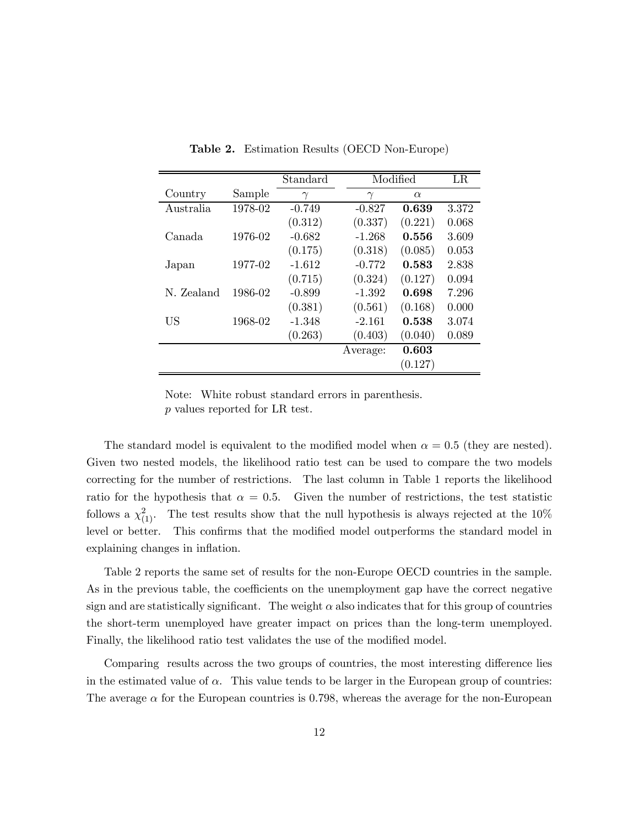|            |         | Standard |          | Modified | LR    |
|------------|---------|----------|----------|----------|-------|
| Country    | Sample  | $\gamma$ | $\gamma$ | $\alpha$ |       |
| Australia  | 1978-02 | $-0.749$ | $-0.827$ | 0.639    | 3.372 |
|            |         | (0.312)  | (0.337)  | (0.221)  | 0.068 |
| Canada     | 1976-02 | $-0.682$ | $-1.268$ | 0.556    | 3.609 |
|            |         | (0.175)  | (0.318)  | (0.085)  | 0.053 |
| Japan      | 1977-02 | $-1.612$ | $-0.772$ | 0.583    | 2.838 |
|            |         | (0.715)  | (0.324)  | (0.127)  | 0.094 |
| N. Zealand | 1986-02 | $-0.899$ | $-1.392$ | 0.698    | 7.296 |
|            |         | (0.381)  | (0.561)  | (0.168)  | 0.000 |
| US         | 1968-02 | $-1.348$ | $-2.161$ | 0.538    | 3.074 |
|            |         | (0.263)  | (0.403)  | (0.040)  | 0.089 |
|            |         |          | Average: | 0.603    |       |
|            |         |          |          | (0.127)  |       |

Table 2. Estimation Results (OECD Non-Europe)

Note: White robust standard errors in parenthesis. p values reported for LR test.

The standard model is equivalent to the modified model when  $\alpha = 0.5$  (they are nested). Given two nested models, the likelihood ratio test can be used to compare the two models correcting for the number of restrictions. The last column in Table 1 reports the likelihood ratio for the hypothesis that  $\alpha = 0.5$ . Given the number of restrictions, the test statistic follows a  $\chi^2_{(1)}$ . The test results show that the null hypothesis is always rejected at the 10% level or better. This confirms that the modified model outperforms the standard model in explaining changes in inflation.

Table 2 reports the same set of results for the non-Europe OECD countries in the sample. As in the previous table, the coefficients on the unemployment gap have the correct negative sign and are statistically significant. The weight  $\alpha$  also indicates that for this group of countries the short-term unemployed have greater impact on prices than the long-term unemployed. Finally, the likelihood ratio test validates the use of the modified model.

Comparing results across the two groups of countries, the most interesting difference lies in the estimated value of  $\alpha$ . This value tends to be larger in the European group of countries: The average  $\alpha$  for the European countries is 0.798, whereas the average for the non-European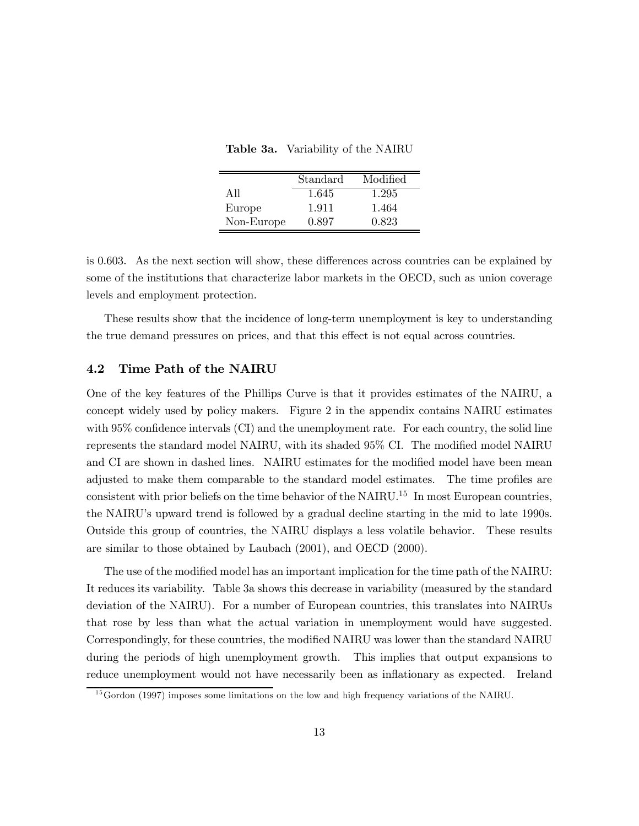Table 3a. Variability of the NAIRU

|            | Standard | Modified |
|------------|----------|----------|
| A 11       | 1.645    | 1.295    |
| Europe     | 1.911    | 1.464    |
| Non-Europe | 0.897    | 0.823    |

is 0.603. As the next section will show, these differences across countries can be explained by some of the institutions that characterize labor markets in the OECD, such as union coverage levels and employment protection.

These results show that the incidence of long-term unemployment is key to understanding the true demand pressures on prices, and that this effect is not equal across countries.

#### 4.2 Time Path of the NAIRU

One of the key features of the Phillips Curve is that it provides estimates of the NAIRU, a concept widely used by policy makers. Figure 2 in the appendix contains NAIRU estimates with 95% confidence intervals (CI) and the unemployment rate. For each country, the solid line represents the standard model NAIRU, with its shaded 95% CI. The modified model NAIRU and CI are shown in dashed lines. NAIRU estimates for the modified model have been mean adjusted to make them comparable to the standard model estimates. The time profiles are consistent with prior beliefs on the time behavior of the NAIRU.15 In most European countries, the NAIRU's upward trend is followed by a gradual decline starting in the mid to late 1990s. Outside this group of countries, the NAIRU displays a less volatile behavior. These results are similar to those obtained by Laubach (2001), and OECD (2000).

The use of the modified model has an important implication for the time path of the NAIRU: It reduces its variability. Table 3a shows this decrease in variability (measured by the standard deviation of the NAIRU). For a number of European countries, this translates into NAIRUs that rose by less than what the actual variation in unemployment would have suggested. Correspondingly, for these countries, the modified NAIRU was lower than the standard NAIRU during the periods of high unemployment growth. This implies that output expansions to reduce unemployment would not have necessarily been as inflationary as expected. Ireland

 $^{15}$  Gordon (1997) imposes some limitations on the low and high frequency variations of the NAIRU.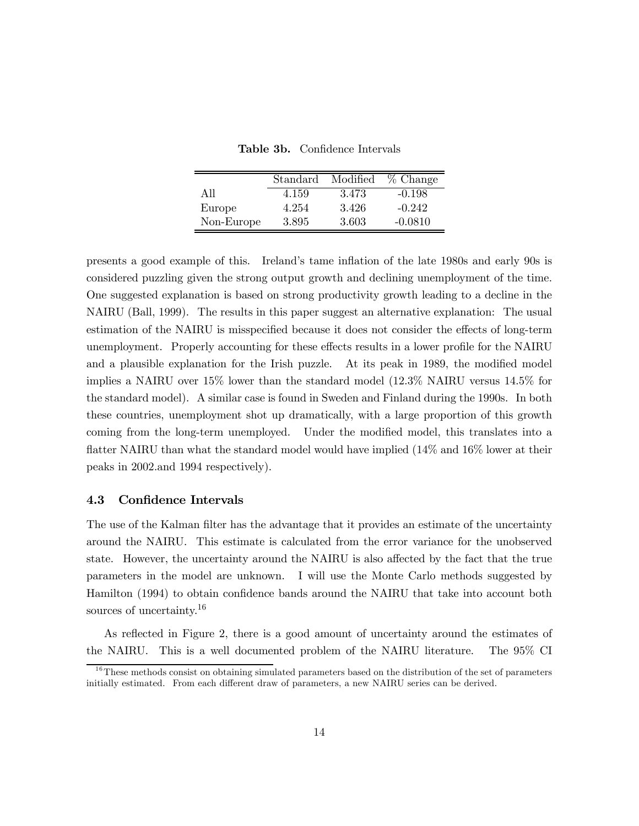|            | Standard | Modified | $%$ Change |
|------------|----------|----------|------------|
| All        | 4.159    | 3.473    | $-0.198$   |
| Europe     | 4.254    | 3.426    | $-0.242$   |
| Non-Europe | 3.895    | 3.603    | $-0.0810$  |

Table 3b. Confidence Intervals

presents a good example of this. Ireland's tame inflation of the late 1980s and early 90s is considered puzzling given the strong output growth and declining unemployment of the time. One suggested explanation is based on strong productivity growth leading to a decline in the NAIRU (Ball, 1999). The results in this paper suggest an alternative explanation: The usual estimation of the NAIRU is misspecified because it does not consider the effects of long-term unemployment. Properly accounting for these effects results in a lower profile for the NAIRU and a plausible explanation for the Irish puzzle. At its peak in 1989, the modified model implies a NAIRU over 15% lower than the standard model (12.3% NAIRU versus 14.5% for the standard model). A similar case is found in Sweden and Finland during the 1990s. In both these countries, unemployment shot up dramatically, with a large proportion of this growth coming from the long-term unemployed. Under the modified model, this translates into a flatter NAIRU than what the standard model would have implied (14% and 16% lower at their peaks in 2002.and 1994 respectively).

#### 4.3 Confidence Intervals

The use of the Kalman filter has the advantage that it provides an estimate of the uncertainty around the NAIRU. This estimate is calculated from the error variance for the unobserved state. However, the uncertainty around the NAIRU is also affected by the fact that the true parameters in the model are unknown. I will use the Monte Carlo methods suggested by Hamilton (1994) to obtain confidence bands around the NAIRU that take into account both sources of uncertainty.<sup>16</sup>

As reflected in Figure 2, there is a good amount of uncertainty around the estimates of the NAIRU. This is a well documented problem of the NAIRU literature. The 95% CI

 $16$ These methods consist on obtaining simulated parameters based on the distribution of the set of parameters initially estimated. From each different draw of parameters, a new NAIRU series can be derived.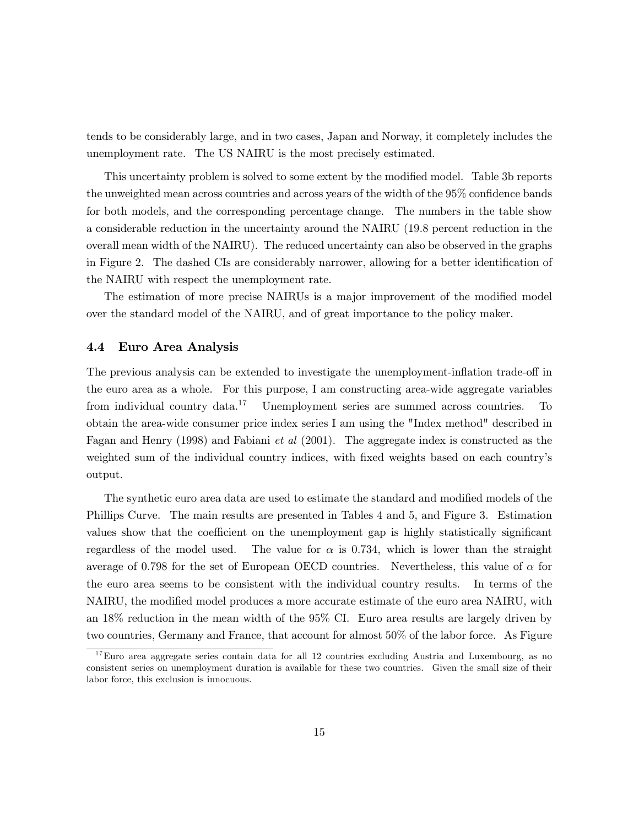tends to be considerably large, and in two cases, Japan and Norway, it completely includes the unemployment rate. The US NAIRU is the most precisely estimated.

This uncertainty problem is solved to some extent by the modified model. Table 3b reports the unweighted mean across countries and across years of the width of the 95% confidence bands for both models, and the corresponding percentage change. The numbers in the table show a considerable reduction in the uncertainty around the NAIRU (19.8 percent reduction in the overall mean width of the NAIRU). The reduced uncertainty can also be observed in the graphs in Figure 2. The dashed CIs are considerably narrower, allowing for a better identification of the NAIRU with respect the unemployment rate.

The estimation of more precise NAIRUs is a major improvement of the modified model over the standard model of the NAIRU, and of great importance to the policy maker.

#### 4.4 Euro Area Analysis

The previous analysis can be extended to investigate the unemployment-inflation trade-off in the euro area as a whole. For this purpose, I am constructing area-wide aggregate variables from individual country data.17 Unemployment series are summed across countries. To obtain the area-wide consumer price index series I am using the "Index method" described in Fagan and Henry (1998) and Fabiani et al (2001). The aggregate index is constructed as the weighted sum of the individual country indices, with fixed weights based on each country's output.

The synthetic euro area data are used to estimate the standard and modified models of the Phillips Curve. The main results are presented in Tables 4 and 5, and Figure 3. Estimation values show that the coefficient on the unemployment gap is highly statistically significant regardless of the model used. The value for  $\alpha$  is 0.734, which is lower than the straight average of 0.798 for the set of European OECD countries. Nevertheless, this value of  $\alpha$  for the euro area seems to be consistent with the individual country results. In terms of the NAIRU, the modified model produces a more accurate estimate of the euro area NAIRU, with an 18% reduction in the mean width of the 95% CI. Euro area results are largely driven by two countries, Germany and France, that account for almost 50% of the labor force. As Figure

 $17$ Euro area aggregate series contain data for all 12 countries excluding Austria and Luxembourg, as no consistent series on unemployment duration is available for these two countries. Given the small size of their labor force, this exclusion is innocuous.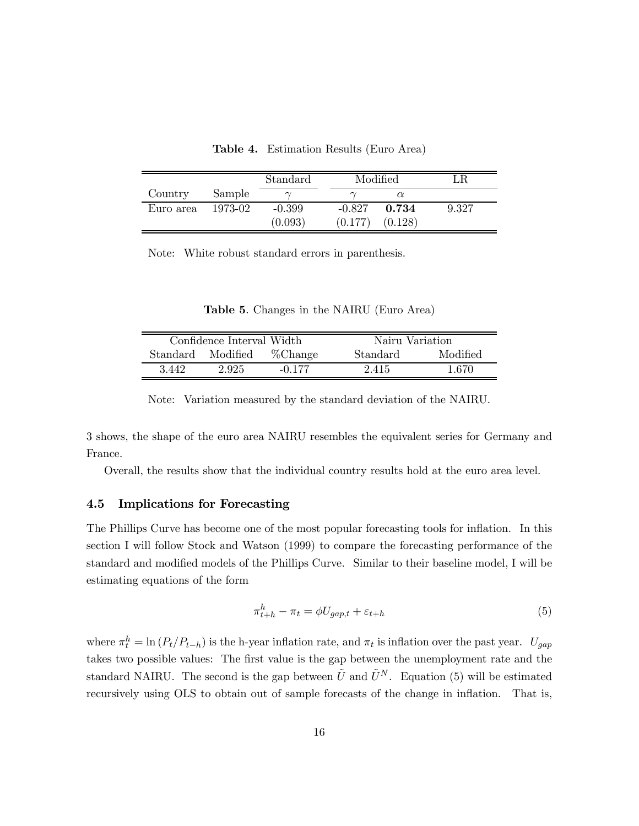|           |         | Standard | Modified |         |       |
|-----------|---------|----------|----------|---------|-------|
| Country   | Sample  |          |          |         |       |
| Euro area | 1973-02 | $-0.399$ | $-0.827$ | 0.734   | 9.327 |
|           |         | (0.093)  | (0.177)  | (0.128) |       |

Table 4. Estimation Results (Euro Area)

Note: White robust standard errors in parenthesis.

| Table 5. Changes in the NAIRU (Euro Area) |  |  |  |  |  |  |  |
|-------------------------------------------|--|--|--|--|--|--|--|
|-------------------------------------------|--|--|--|--|--|--|--|

|          | Confidence Interval Width |             | Nairu Variation |          |
|----------|---------------------------|-------------|-----------------|----------|
| Standard | Modified                  | $\%$ Change | Standard        | Modified |
| 3.442    | 2.925                     | $-0.177$    | 2.415           | 1.670    |

Note: Variation measured by the standard deviation of the NAIRU.

3 shows, the shape of the euro area NAIRU resembles the equivalent series for Germany and France.

Overall, the results show that the individual country results hold at the euro area level.

#### 4.5 Implications for Forecasting

The Phillips Curve has become one of the most popular forecasting tools for inflation. In this section I will follow Stock and Watson (1999) to compare the forecasting performance of the standard and modified models of the Phillips Curve. Similar to their baseline model, I will be estimating equations of the form

$$
\pi_{t+h}^h - \pi_t = \phi U_{gap,t} + \varepsilon_{t+h} \tag{5}
$$

where  $\pi_t^h = \ln (P_t/P_{t-h})$  is the h-year inflation rate, and  $\pi_t$  is inflation over the past year.  $U_{gap}$ takes two possible values: The first value is the gap between the unemployment rate and the standard NAIRU. The second is the gap between  $\tilde{U}$  and  $\tilde{U}^{N}$ . Equation (5) will be estimated recursively using OLS to obtain out of sample forecasts of the change in inflation. That is,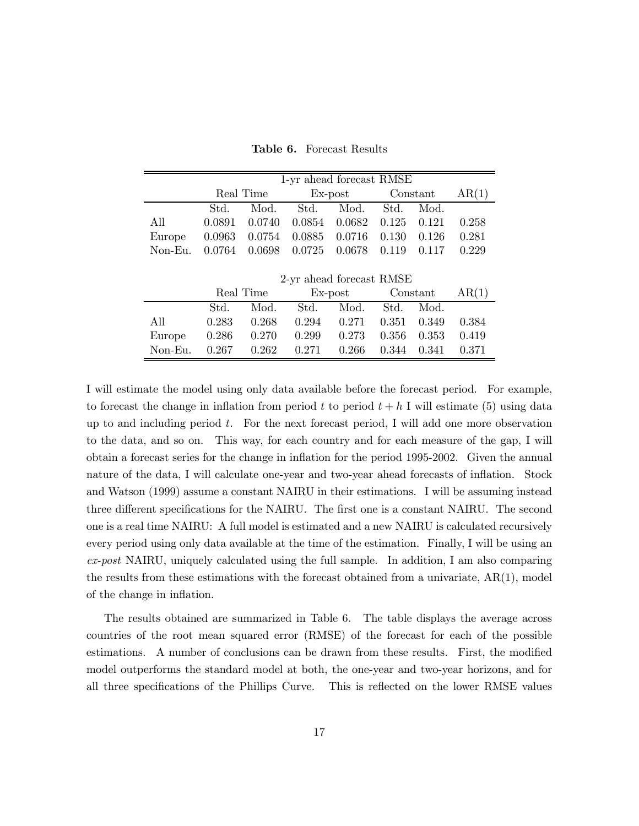Table 6. Forecast Results

|         |        | Real Time |                          | Ex-post |          | Constant |       |
|---------|--------|-----------|--------------------------|---------|----------|----------|-------|
|         | Std.   | Mod.      | Std.                     | Mod.    | Std.     | Mod.     |       |
| All     | 0.0891 | 0.0740    | 0.0854                   | 0.0682  | 0.125    | 0.121    | 0.258 |
| Europe  | 0.0963 | 0.0754    | 0.0885                   | 0.0716  | 0.130    | 0.126    | 0.281 |
| Non-Eu. | 0.0764 | 0.0698    | 0.0725                   | 0.0678  | 0.119    | 0.117    | 0.229 |
|         |        |           |                          |         |          |          |       |
|         |        |           | 2-yr ahead forecast RMSE |         |          |          |       |
|         |        | Real Time | Ex-post                  |         | Constant |          | AR(1) |
|         | Std.   | Mod.      | Std.                     | Mod.    | Std.     | Mod.     |       |
| All     | 0.283  | 0.268     | 0.294                    | 0.271   | 0.351    | 0.349    | 0.384 |
| Europe  | 0.286  | 0.270     | 0.299                    | 0.273   | 0.356    | 0.353    | 0.419 |
| Non-Eu. | 0.267  | 0.262     | 0.271                    | 0.266   | 0.344    | 0.341    | 0.371 |

I will estimate the model using only data available before the forecast period. For example, to forecast the change in inflation from period t to period  $t + h$  I will estimate (5) using data up to and including period  $t$ . For the next forecast period, I will add one more observation to the data, and so on. This way, for each country and for each measure of the gap, I will obtain a forecast series for the change in inflation for the period 1995-2002. Given the annual nature of the data, I will calculate one-year and two-year ahead forecasts of inflation. Stock and Watson (1999) assume a constant NAIRU in their estimations. I will be assuming instead three different specifications for the NAIRU. The first one is a constant NAIRU. The second one is a real time NAIRU: A full model is estimated and a new NAIRU is calculated recursively every period using only data available at the time of the estimation. Finally, I will be using an ex-post NAIRU, uniquely calculated using the full sample. In addition, I am also comparing the results from these estimations with the forecast obtained from a univariate, AR(1), model of the change in inflation.

The results obtained are summarized in Table 6. The table displays the average across countries of the root mean squared error (RMSE) of the forecast for each of the possible estimations. A number of conclusions can be drawn from these results. First, the modified model outperforms the standard model at both, the one-year and two-year horizons, and for all three specifications of the Phillips Curve. This is reflected on the lower RMSE values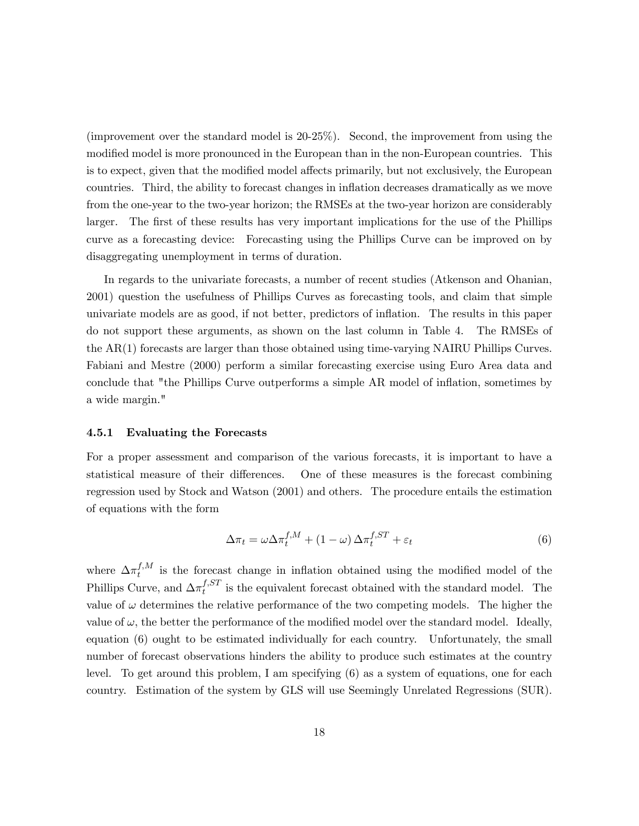(improvement over the standard model is 20-25%). Second, the improvement from using the modified model is more pronounced in the European than in the non-European countries. This is to expect, given that the modified model affects primarily, but not exclusively, the European countries. Third, the ability to forecast changes in inflation decreases dramatically as we move from the one-year to the two-year horizon; the RMSEs at the two-year horizon are considerably larger. The first of these results has very important implications for the use of the Phillips curve as a forecasting device: Forecasting using the Phillips Curve can be improved on by disaggregating unemployment in terms of duration.

In regards to the univariate forecasts, a number of recent studies (Atkenson and Ohanian, 2001) question the usefulness of Phillips Curves as forecasting tools, and claim that simple univariate models are as good, if not better, predictors of inflation. The results in this paper do not support these arguments, as shown on the last column in Table 4. The RMSEs of the AR(1) forecasts are larger than those obtained using time-varying NAIRU Phillips Curves. Fabiani and Mestre (2000) perform a similar forecasting exercise using Euro Area data and conclude that "the Phillips Curve outperforms a simple AR model of inflation, sometimes by a wide margin."

#### 4.5.1 Evaluating the Forecasts

For a proper assessment and comparison of the various forecasts, it is important to have a statistical measure of their differences. One of these measures is the forecast combining regression used by Stock and Watson (2001) and others. The procedure entails the estimation of equations with the form

$$
\Delta \pi_t = \omega \Delta \pi_t^{f,M} + (1 - \omega) \Delta \pi_t^{f,ST} + \varepsilon_t \tag{6}
$$

where  $\Delta \pi_t^{f,M}$  is the forecast change in inflation obtained using the modified model of the Phillips Curve, and  $\Delta \pi_t^{f,ST}$  is the equivalent forecast obtained with the standard model. The value of  $\omega$  determines the relative performance of the two competing models. The higher the value of  $\omega$ , the better the performance of the modified model over the standard model. Ideally, equation (6) ought to be estimated individually for each country. Unfortunately, the small number of forecast observations hinders the ability to produce such estimates at the country level. To get around this problem, I am specifying (6) as a system of equations, one for each country. Estimation of the system by GLS will use Seemingly Unrelated Regressions (SUR).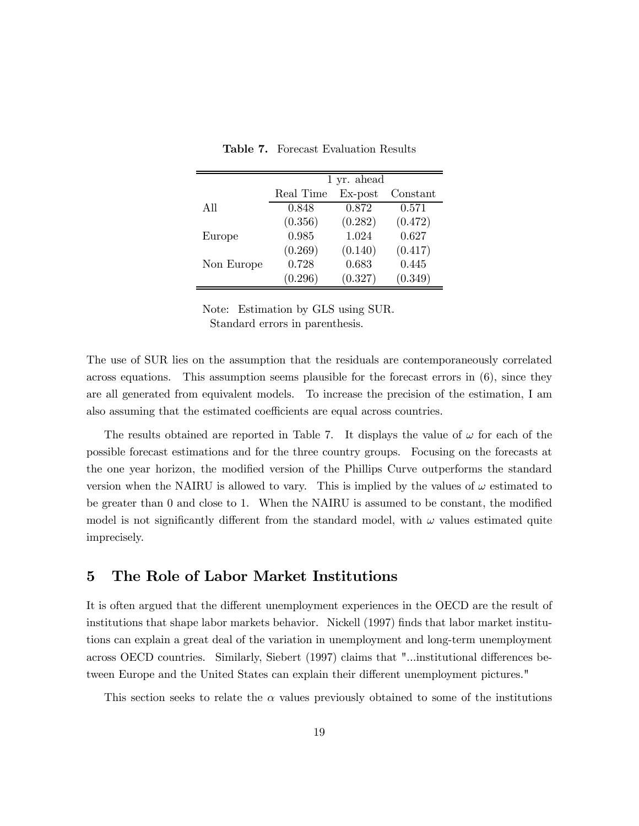|            | 1 yr. ahead |            |          |  |  |  |  |
|------------|-------------|------------|----------|--|--|--|--|
|            | Real Time   | $Ex$ -post | Constant |  |  |  |  |
| All        | 0.848       | 0.872      | 0.571    |  |  |  |  |
|            | (0.356)     | (0.282)    | (0.472)  |  |  |  |  |
| Europe     | 0.985       | 1.024      | 0.627    |  |  |  |  |
|            | (0.269)     | (0.140)    | (0.417)  |  |  |  |  |
| Non Europe | 0.728       | 0.683      | 0.445    |  |  |  |  |
|            | (0.296)     | (0.327)    | (0.349)  |  |  |  |  |

Table 7. Forecast Evaluation Results

Note: Estimation by GLS using SUR. Standard errors in parenthesis.

The use of SUR lies on the assumption that the residuals are contemporaneously correlated across equations. This assumption seems plausible for the forecast errors in (6), since they are all generated from equivalent models. To increase the precision of the estimation, I am also assuming that the estimated coefficients are equal across countries.

The results obtained are reported in Table 7. It displays the value of  $\omega$  for each of the possible forecast estimations and for the three country groups. Focusing on the forecasts at the one year horizon, the modified version of the Phillips Curve outperforms the standard version when the NAIRU is allowed to vary. This is implied by the values of  $\omega$  estimated to be greater than 0 and close to 1. When the NAIRU is assumed to be constant, the modified model is not significantly different from the standard model, with  $\omega$  values estimated quite imprecisely.

# 5 The Role of Labor Market Institutions

It is often argued that the different unemployment experiences in the OECD are the result of institutions that shape labor markets behavior. Nickell (1997) finds that labor market institutions can explain a great deal of the variation in unemployment and long-term unemployment across OECD countries. Similarly, Siebert (1997) claims that "...institutional differences between Europe and the United States can explain their different unemployment pictures."

This section seeks to relate the  $\alpha$  values previously obtained to some of the institutions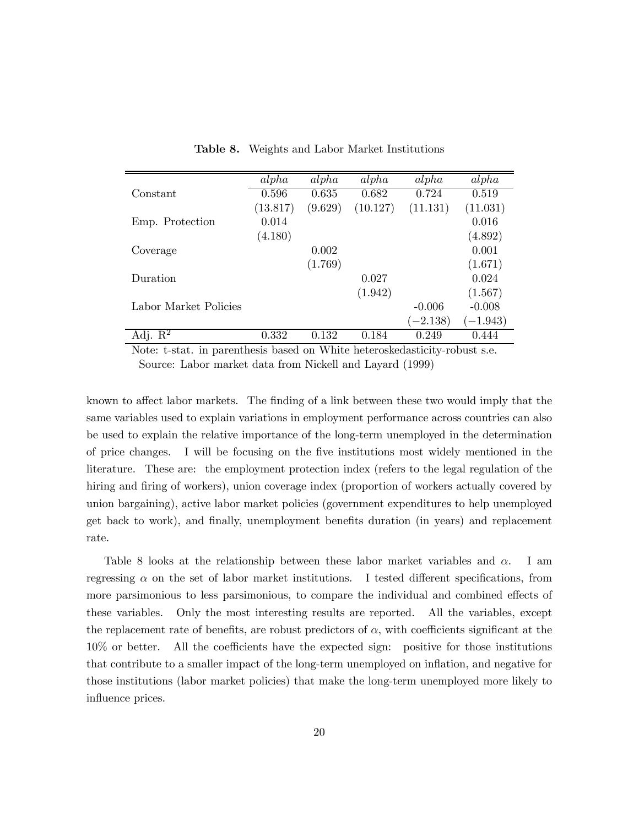|                                | alpha    | alpha   | alpha    | alpha      | alpha     |
|--------------------------------|----------|---------|----------|------------|-----------|
| Constant                       | 0.596    | 0.635   | 0.682    | 0.724      | 0.519     |
|                                | (13.817) | (9.629) | (10.127) | (11.131)   | (11.031)  |
| Emp. Protection                | 0.014    |         |          |            | 0.016     |
|                                | (4.180)  |         |          |            | (4.892)   |
| Coverage                       |          | 0.002   |          |            | 0.001     |
|                                |          | (1.769) |          |            | (1.671)   |
| Duration                       |          |         | 0.027    |            | 0.024     |
|                                |          |         | (1.942)  |            | (1.567)   |
| Labor Market Policies          |          |         |          | $-0.006$   | $-0.008$  |
|                                |          |         |          | $(-2.138)$ | $-1.943)$ |
| Adj. $\overline{\mathrm{R}^2}$ | 0.332    | 0.132   | 0.184    | 0.249      | 0.444     |

Table 8. Weights and Labor Market Institutions

Note: t-stat. in parenthesis based on White heteroskedasticity-robust s.e. Source: Labor market data from Nickell and Layard (1999)

known to affect labor markets. The finding of a link between these two would imply that the same variables used to explain variations in employment performance across countries can also be used to explain the relative importance of the long-term unemployed in the determination of price changes. I will be focusing on the five institutions most widely mentioned in the literature. These are: the employment protection index (refers to the legal regulation of the hiring and firing of workers), union coverage index (proportion of workers actually covered by union bargaining), active labor market policies (government expenditures to help unemployed get back to work), and finally, unemployment benefits duration (in years) and replacement rate.

Table 8 looks at the relationship between these labor market variables and  $\alpha$ . I am regressing  $\alpha$  on the set of labor market institutions. I tested different specifications, from more parsimonious to less parsimonious, to compare the individual and combined effects of these variables. Only the most interesting results are reported. All the variables, except the replacement rate of benefits, are robust predictors of  $\alpha$ , with coefficients significant at the 10% or better. All the coefficients have the expected sign: positive for those institutions that contribute to a smaller impact of the long-term unemployed on inflation, and negative for those institutions (labor market policies) that make the long-term unemployed more likely to influence prices.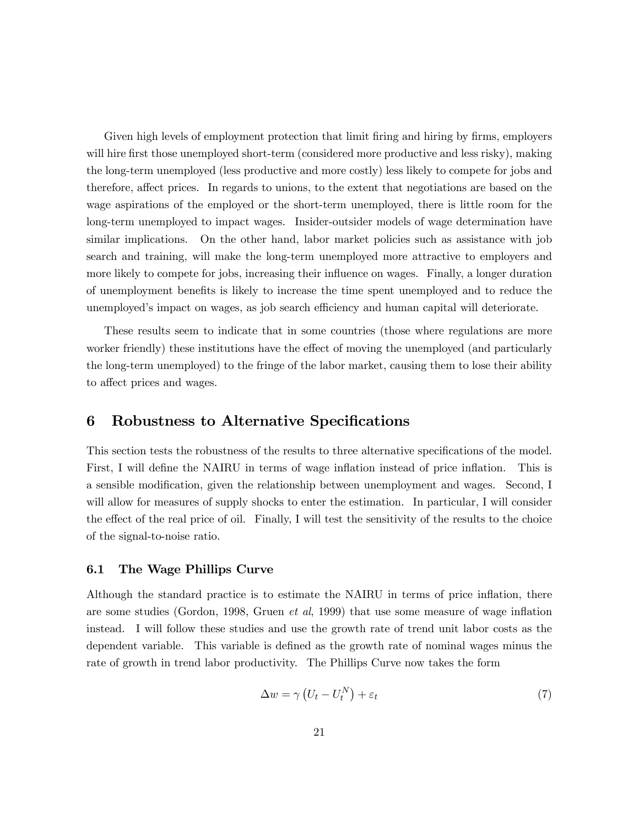Given high levels of employment protection that limit firing and hiring by firms, employers will hire first those unemployed short-term (considered more productive and less risky), making the long-term unemployed (less productive and more costly) less likely to compete for jobs and therefore, affect prices. In regards to unions, to the extent that negotiations are based on the wage aspirations of the employed or the short-term unemployed, there is little room for the long-term unemployed to impact wages. Insider-outsider models of wage determination have similar implications. On the other hand, labor market policies such as assistance with job search and training, will make the long-term unemployed more attractive to employers and more likely to compete for jobs, increasing their influence on wages. Finally, a longer duration of unemployment benefits is likely to increase the time spent unemployed and to reduce the unemployed's impact on wages, as job search efficiency and human capital will deteriorate.

These results seem to indicate that in some countries (those where regulations are more worker friendly) these institutions have the effect of moving the unemployed (and particularly the long-term unemployed) to the fringe of the labor market, causing them to lose their ability to affect prices and wages.

# 6 Robustness to Alternative Specifications

This section tests the robustness of the results to three alternative specifications of the model. First, I will define the NAIRU in terms of wage inflation instead of price inflation. This is a sensible modification, given the relationship between unemployment and wages. Second, I will allow for measures of supply shocks to enter the estimation. In particular, I will consider the effect of the real price of oil. Finally, I will test the sensitivity of the results to the choice of the signal-to-noise ratio.

#### 6.1 The Wage Phillips Curve

Although the standard practice is to estimate the NAIRU in terms of price inflation, there are some studies (Gordon, 1998, Gruen et al, 1999) that use some measure of wage inflation instead. I will follow these studies and use the growth rate of trend unit labor costs as the dependent variable. This variable is defined as the growth rate of nominal wages minus the rate of growth in trend labor productivity. The Phillips Curve now takes the form

$$
\Delta w = \gamma \left( U_t - U_t^N \right) + \varepsilon_t \tag{7}
$$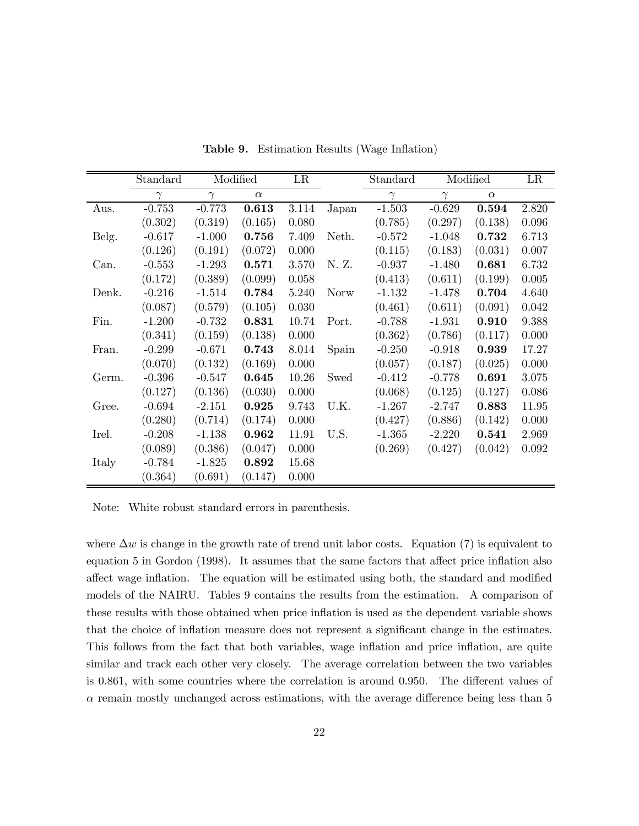|       | Standard |          | Modified | LR        |             | Standard |          | Modified | LR    |
|-------|----------|----------|----------|-----------|-------------|----------|----------|----------|-------|
|       | $\gamma$ | $\gamma$ | $\alpha$ |           |             | $\gamma$ | $\gamma$ | $\alpha$ |       |
| Aus.  | $-0.753$ | $-0.773$ | 0.613    | 3.114     | Japan       | $-1.503$ | $-0.629$ | 0.594    | 2.820 |
|       | (0.302)  | (0.319)  | (0.165)  | 0.080     |             | (0.785)  | (0.297)  | (0.138)  | 0.096 |
| Belg. | $-0.617$ | $-1.000$ | 0.756    | 7.409     | Neth.       | $-0.572$ | $-1.048$ | 0.732    | 6.713 |
|       | (0.126)  | (0.191)  | (0.072)  | 0.000     |             | (0.115)  | (0.183)  | (0.031)  | 0.007 |
| Can.  | $-0.553$ | $-1.293$ | 0.571    | 3.570     | N. Z.       | $-0.937$ | $-1.480$ | 0.681    | 6.732 |
|       | (0.172)  | (0.389)  | (0.099)  | $0.058\,$ |             | (0.413)  | (0.611)  | (0.199)  | 0.005 |
| Denk. | $-0.216$ | $-1.514$ | 0.784    | 5.240     | <b>Norw</b> | $-1.132$ | $-1.478$ | 0.704    | 4.640 |
|       | (0.087)  | (0.579)  | (0.105)  | 0.030     |             | (0.461)  | (0.611)  | (0.091)  | 0.042 |
| Fin.  | $-1.200$ | $-0.732$ | 0.831    | 10.74     | Port.       | $-0.788$ | $-1.931$ | 0.910    | 9.388 |
|       | (0.341)  | (0.159)  | (0.138)  | 0.000     |             | (0.362)  | (0.786)  | (0.117)  | 0.000 |
| Fran. | $-0.299$ | $-0.671$ | 0.743    | 8.014     | Spain       | $-0.250$ | $-0.918$ | 0.939    | 17.27 |
|       | (0.070)  | (0.132)  | (0.169)  | 0.000     |             | (0.057)  | (0.187)  | (0.025)  | 0.000 |
| Germ. | $-0.396$ | $-0.547$ | 0.645    | 10.26     | Swed        | $-0.412$ | $-0.778$ | 0.691    | 3.075 |
|       | (0.127)  | (0.136)  | (0.030)  | 0.000     |             | (0.068)  | (0.125)  | (0.127)  | 0.086 |
| Gree. | $-0.694$ | $-2.151$ | 0.925    | 9.743     | U.K.        | $-1.267$ | $-2.747$ | 0.883    | 11.95 |
|       | (0.280)  | (0.714)  | (0.174)  | 0.000     |             | (0.427)  | (0.886)  | (0.142)  | 0.000 |
| Irel. | $-0.208$ | $-1.138$ | 0.962    | 11.91     | U.S.        | $-1.365$ | $-2.220$ | 0.541    | 2.969 |
|       | (0.089)  | (0.386)  | (0.047)  | 0.000     |             | (0.269)  | (0.427)  | (0.042)  | 0.092 |
| Italy | $-0.784$ | $-1.825$ | 0.892    | 15.68     |             |          |          |          |       |
|       | (0.364)  | (0.691)  | (0.147)  | 0.000     |             |          |          |          |       |

Table 9. Estimation Results (Wage Inflation)

Note: White robust standard errors in parenthesis.

where  $\Delta w$  is change in the growth rate of trend unit labor costs. Equation (7) is equivalent to equation 5 in Gordon (1998). It assumes that the same factors that affect price inflation also affect wage inflation. The equation will be estimated using both, the standard and modified models of the NAIRU. Tables 9 contains the results from the estimation. A comparison of these results with those obtained when price inflation is used as the dependent variable shows that the choice of inflation measure does not represent a significant change in the estimates. This follows from the fact that both variables, wage inflation and price inflation, are quite similar and track each other very closely. The average correlation between the two variables is 0.861, with some countries where the correlation is around 0.950. The different values of  $\alpha$  remain mostly unchanged across estimations, with the average difference being less than 5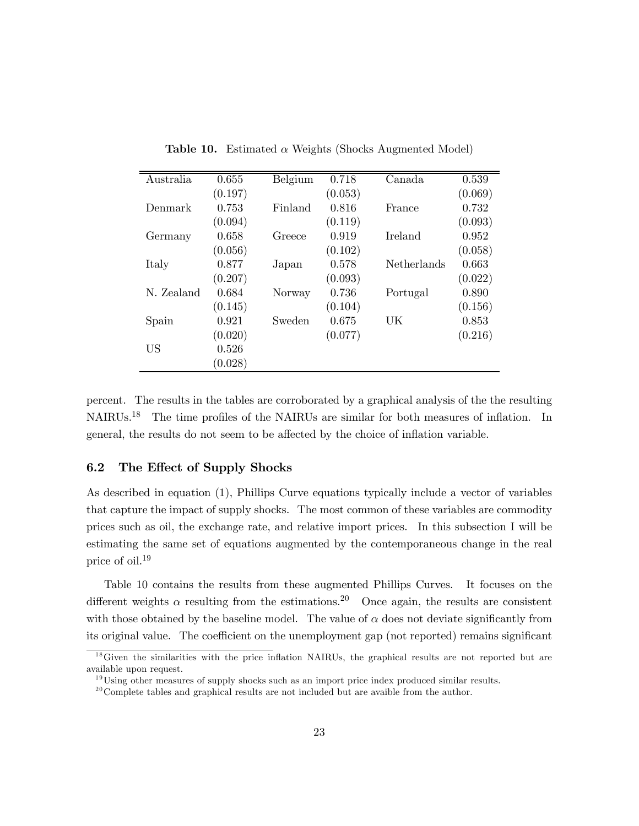| Australia  | 0.655   | Belgium | 0.718   | Canada      | 0.539   |
|------------|---------|---------|---------|-------------|---------|
|            | (0.197) |         | (0.053) |             | (0.069) |
| Denmark    | 0.753   | Finland | 0.816   | France      | 0.732   |
|            | (0.094) |         | (0.119) |             | (0.093) |
| Germany    | 0.658   | Greece  | 0.919   | Ireland     | 0.952   |
|            | (0.056) |         | (0.102) |             | (0.058) |
| Italy      | 0.877   | Japan   | 0.578   | Netherlands | 0.663   |
|            | (0.207) |         | (0.093) |             | (0.022) |
| N. Zealand | 0.684   | Norway  | 0.736   | Portugal    | 0.890   |
|            | (0.145) |         | (0.104) |             | (0.156) |
| Spain      | 0.921   | Sweden  | 0.675   | UK          | 0.853   |
|            | (0.020) |         | (0.077) |             | (0.216) |
| <b>US</b>  | 0.526   |         |         |             |         |
|            | (0.028) |         |         |             |         |
|            |         |         |         |             |         |

Table 10. Estimated  $\alpha$  Weights (Shocks Augmented Model)

percent. The results in the tables are corroborated by a graphical analysis of the the resulting NAIRUs.<sup>18</sup> The time profiles of the NAIRUs are similar for both measures of inflation. In general, the results do not seem to be affected by the choice of inflation variable.

#### 6.2 The Effect of Supply Shocks

As described in equation (1), Phillips Curve equations typically include a vector of variables that capture the impact of supply shocks. The most common of these variables are commodity prices such as oil, the exchange rate, and relative import prices. In this subsection I will be estimating the same set of equations augmented by the contemporaneous change in the real price of oil.19

Table 10 contains the results from these augmented Phillips Curves. It focuses on the different weights  $\alpha$  resulting from the estimations.<sup>20</sup> Once again, the results are consistent with those obtained by the baseline model. The value of  $\alpha$  does not deviate significantly from its original value. The coefficient on the unemployment gap (not reported) remains significant

<sup>&</sup>lt;sup>18</sup>Given the similarities with the price inflation NAIRUs, the graphical results are not reported but are available upon request.

 $19$ Using other measures of supply shocks such as an import price index produced similar results.

 $20^{\circ}$ Complete tables and graphical results are not included but are avaible from the author.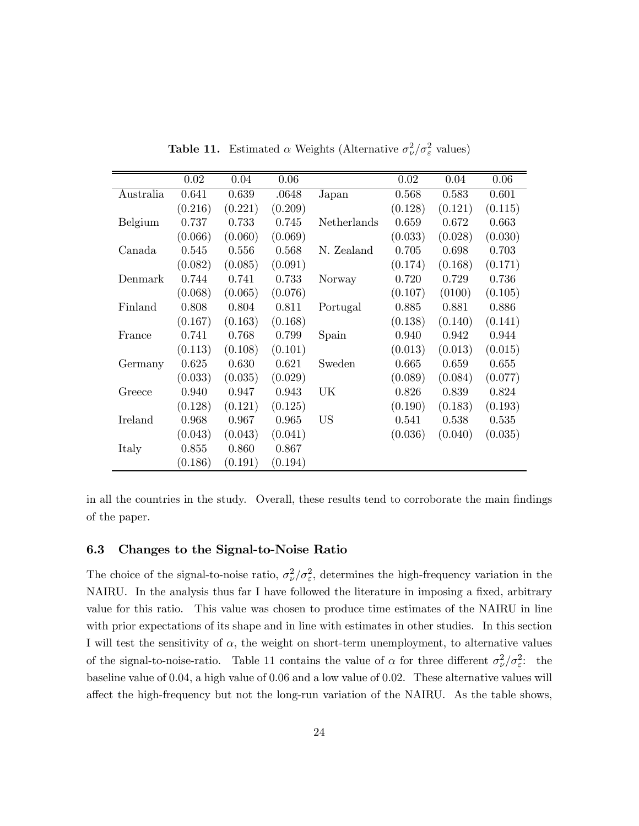|           | $\overline{0.02}$ | 0.04    | 0.06    |             | 0.02    | 0.04    | 0.06    |
|-----------|-------------------|---------|---------|-------------|---------|---------|---------|
|           |                   |         |         |             |         |         |         |
| Australia | 0.641             | 0.639   | .0648   | Japan       | 0.568   | 0.583   | 0.601   |
|           | (0.216)           | (0.221) | (0.209) |             | (0.128) | (0.121) | (0.115) |
| Belgium   | 0.737             | 0.733   | 0.745   | Netherlands | 0.659   | 0.672   | 0.663   |
|           | (0.066)           | (0.060) | (0.069) |             | (0.033) | (0.028) | (0.030) |
| Canada    | 0.545             | 0.556   | 0.568   | N. Zealand  | 0.705   | 0.698   | 0.703   |
|           | (0.082)           | (0.085) | (0.091) |             | (0.174) | (0.168) | (0.171) |
| Denmark   | 0.744             | 0.741   | 0.733   | Norway      | 0.720   | 0.729   | 0.736   |
|           | (0.068)           | (0.065) | (0.076) |             | (0.107) | (0100)  | (0.105) |
| Finland   | 0.808             | 0.804   | 0.811   | Portugal    | 0.885   | 0.881   | 0.886   |
|           | (0.167)           | (0.163) | (0.168) |             | (0.138) | (0.140) | (0.141) |
| France    | 0.741             | 0.768   | 0.799   | Spain       | 0.940   | 0.942   | 0.944   |
|           | (0.113)           | (0.108) | (0.101) |             | (0.013) | (0.013) | (0.015) |
| Germany   | 0.625             | 0.630   | 0.621   | Sweden      | 0.665   | 0.659   | 0.655   |
|           | (0.033)           | (0.035) | (0.029) |             | (0.089) | (0.084) | (0.077) |
| Greece    | 0.940             | 0.947   | 0.943   | UK.         | 0.826   | 0.839   | 0.824   |
|           | (0.128)           | (0.121) | (0.125) |             | (0.190) | (0.183) | (0.193) |
| Ireland   | 0.968             | 0.967   | 0.965   | <b>US</b>   | 0.541   | 0.538   | 0.535   |
|           | (0.043)           | (0.043) | (0.041) |             | (0.036) | (0.040) | (0.035) |
| Italy     | 0.855             | 0.860   | 0.867   |             |         |         |         |
|           | (0.186)           | (0.191) | (0.194) |             |         |         |         |

**Table 11.** Estimated  $\alpha$  Weights (Alternative  $\sigma_{\nu}^2/\sigma_{\varepsilon}^2$  values)

in all the countries in the study. Overall, these results tend to corroborate the main findings of the paper.

### 6.3 Changes to the Signal-to-Noise Ratio

The choice of the signal-to-noise ratio,  $\sigma_{\nu}^2/\sigma_{\varepsilon}^2$ , determines the high-frequency variation in the NAIRU. In the analysis thus far I have followed the literature in imposing a fixed, arbitrary value for this ratio. This value was chosen to produce time estimates of the NAIRU in line with prior expectations of its shape and in line with estimates in other studies. In this section I will test the sensitivity of  $\alpha$ , the weight on short-term unemployment, to alternative values of the signal-to-noise-ratio. Table 11 contains the value of  $\alpha$  for three different  $\sigma_{\nu}^2/\sigma_{\varepsilon}^2$ : the baseline value of 0.04, a high value of 0.06 and a low value of 0.02. These alternative values will affect the high-frequency but not the long-run variation of the NAIRU. As the table shows,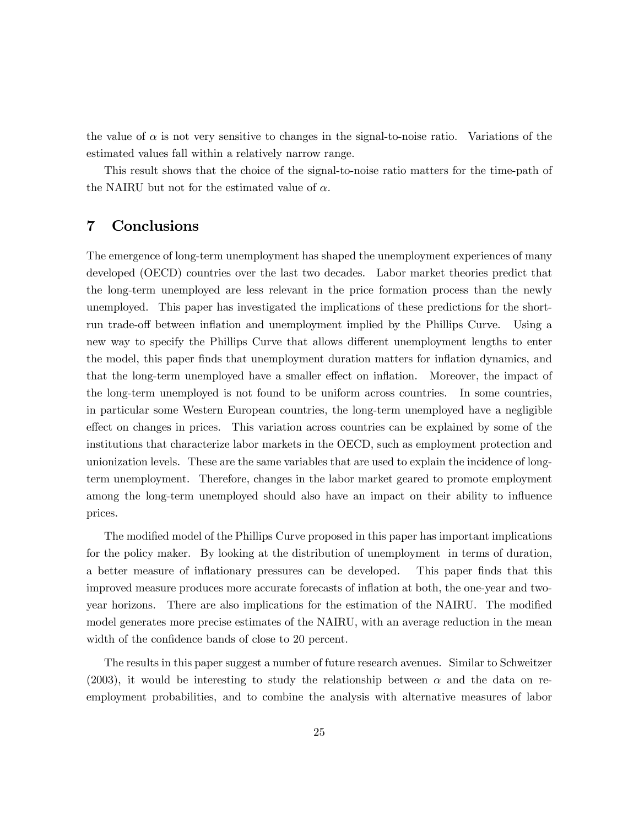the value of  $\alpha$  is not very sensitive to changes in the signal-to-noise ratio. Variations of the estimated values fall within a relatively narrow range.

This result shows that the choice of the signal-to-noise ratio matters for the time-path of the NAIRU but not for the estimated value of  $\alpha$ .

## 7 Conclusions

The emergence of long-term unemployment has shaped the unemployment experiences of many developed (OECD) countries over the last two decades. Labor market theories predict that the long-term unemployed are less relevant in the price formation process than the newly unemployed. This paper has investigated the implications of these predictions for the shortrun trade-off between inflation and unemployment implied by the Phillips Curve. Using a new way to specify the Phillips Curve that allows different unemployment lengths to enter the model, this paper finds that unemployment duration matters for inflation dynamics, and that the long-term unemployed have a smaller effect on inflation. Moreover, the impact of the long-term unemployed is not found to be uniform across countries. In some countries, in particular some Western European countries, the long-term unemployed have a negligible effect on changes in prices. This variation across countries can be explained by some of the institutions that characterize labor markets in the OECD, such as employment protection and unionization levels. These are the same variables that are used to explain the incidence of longterm unemployment. Therefore, changes in the labor market geared to promote employment among the long-term unemployed should also have an impact on their ability to influence prices.

The modified model of the Phillips Curve proposed in this paper has important implications for the policy maker. By looking at the distribution of unemployment in terms of duration, a better measure of inflationary pressures can be developed. This paper finds that this improved measure produces more accurate forecasts of inflation at both, the one-year and twoyear horizons. There are also implications for the estimation of the NAIRU. The modified model generates more precise estimates of the NAIRU, with an average reduction in the mean width of the confidence bands of close to 20 percent.

The results in this paper suggest a number of future research avenues. Similar to Schweitzer (2003), it would be interesting to study the relationship between  $\alpha$  and the data on reemployment probabilities, and to combine the analysis with alternative measures of labor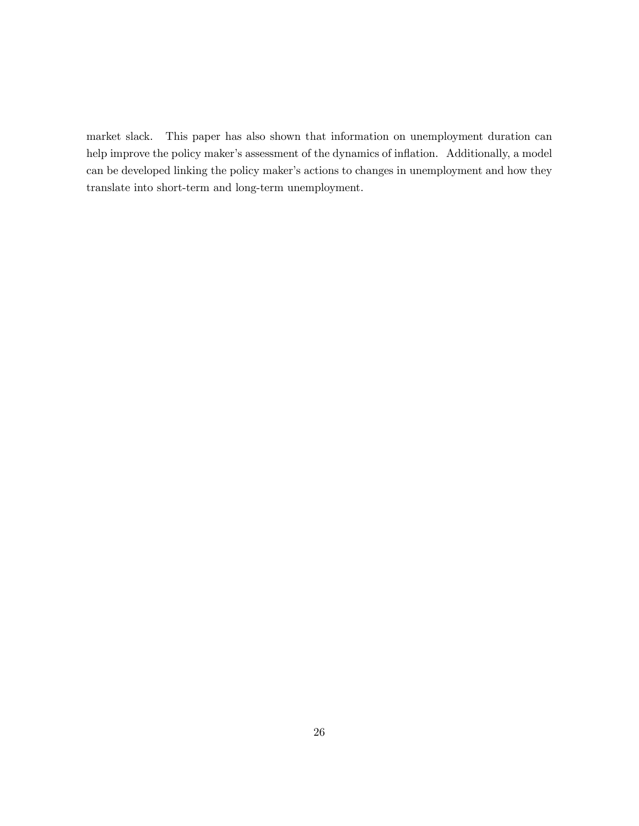market slack. This paper has also shown that information on unemployment duration can help improve the policy maker's assessment of the dynamics of inflation. Additionally, a model can be developed linking the policy maker's actions to changes in unemployment and how they translate into short-term and long-term unemployment.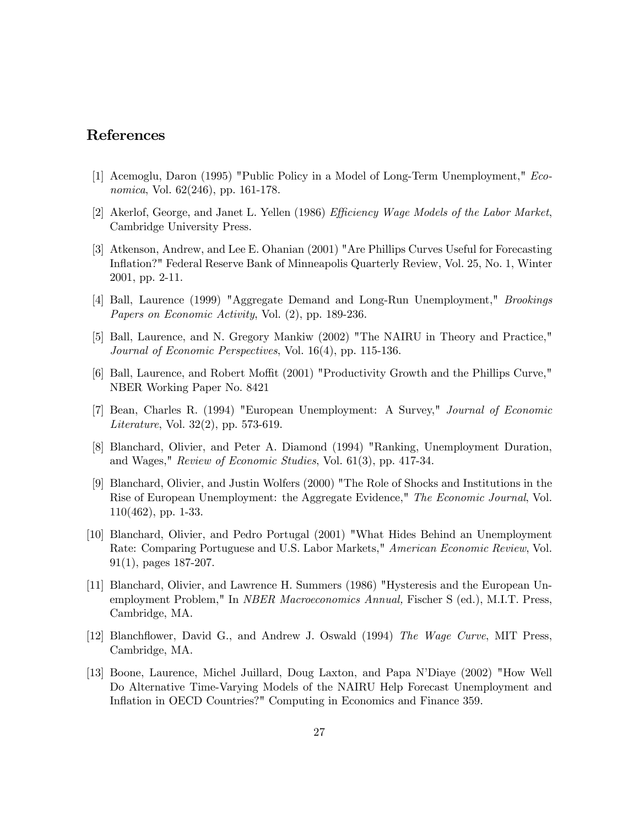# References

- [1] Acemoglu, Daron (1995) "Public Policy in a Model of Long-Term Unemployment," Economica, Vol. 62(246), pp. 161-178.
- [2] Akerlof, George, and Janet L. Yellen (1986) Efficiency Wage Models of the Labor Market, Cambridge University Press.
- [3] Atkenson, Andrew, and Lee E. Ohanian (2001) "Are Phillips Curves Useful for Forecasting Inflation?" Federal Reserve Bank of Minneapolis Quarterly Review, Vol. 25, No. 1, Winter 2001, pp. 2-11.
- [4] Ball, Laurence (1999) "Aggregate Demand and Long-Run Unemployment," Brookings Papers on Economic Activity, Vol. (2), pp. 189-236.
- [5] Ball, Laurence, and N. Gregory Mankiw (2002) "The NAIRU in Theory and Practice," Journal of Economic Perspectives, Vol. 16(4), pp. 115-136.
- [6] Ball, Laurence, and Robert Moffit (2001) "Productivity Growth and the Phillips Curve," NBER Working Paper No. 8421
- [7] Bean, Charles R. (1994) "European Unemployment: A Survey," Journal of Economic Literature, Vol. 32(2), pp. 573-619.
- [8] Blanchard, Olivier, and Peter A. Diamond (1994) "Ranking, Unemployment Duration, and Wages," Review of Economic Studies, Vol. 61(3), pp. 417-34.
- [9] Blanchard, Olivier, and Justin Wolfers (2000) "The Role of Shocks and Institutions in the Rise of European Unemployment: the Aggregate Evidence," The Economic Journal, Vol. 110(462), pp. 1-33.
- [10] Blanchard, Olivier, and Pedro Portugal (2001) "What Hides Behind an Unemployment Rate: Comparing Portuguese and U.S. Labor Markets," American Economic Review, Vol. 91(1), pages 187-207.
- [11] Blanchard, Olivier, and Lawrence H. Summers (1986) "Hysteresis and the European Unemployment Problem," In NBER Macroeconomics Annual, Fischer S (ed.), M.I.T. Press, Cambridge, MA.
- [12] Blanchflower, David G., and Andrew J. Oswald (1994) The Wage Curve, MIT Press, Cambridge, MA.
- [13] Boone, Laurence, Michel Juillard, Doug Laxton, and Papa N'Diaye (2002) "How Well Do Alternative Time-Varying Models of the NAIRU Help Forecast Unemployment and Inflation in OECD Countries?" Computing in Economics and Finance 359.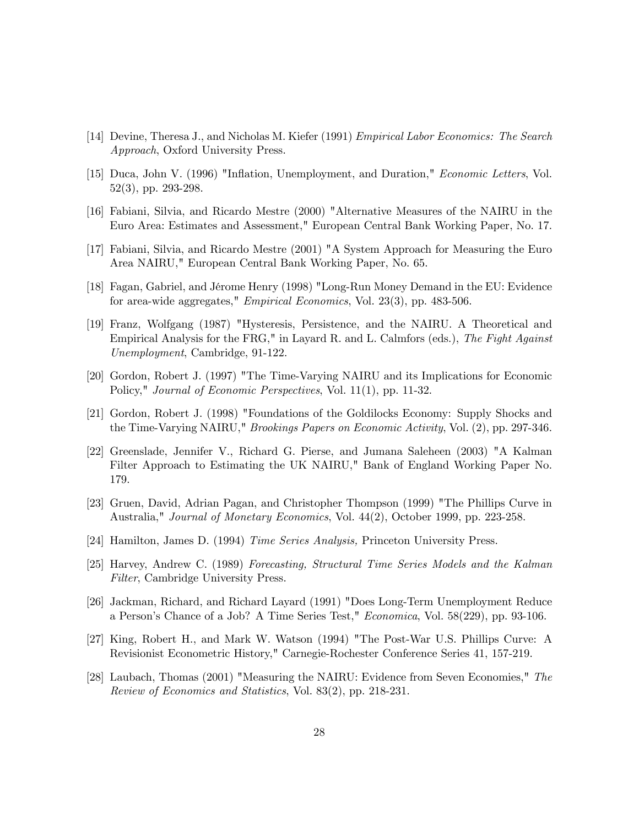- [14] Devine, Theresa J., and Nicholas M. Kiefer (1991) Empirical Labor Economics: The Search Approach, Oxford University Press.
- [15] Duca, John V. (1996) "Inflation, Unemployment, and Duration," Economic Letters, Vol. 52(3), pp. 293-298.
- [16] Fabiani, Silvia, and Ricardo Mestre (2000) "Alternative Measures of the NAIRU in the Euro Area: Estimates and Assessment," European Central Bank Working Paper, No. 17.
- [17] Fabiani, Silvia, and Ricardo Mestre (2001) "A System Approach for Measuring the Euro Area NAIRU," European Central Bank Working Paper, No. 65.
- [18] Fagan, Gabriel, and Jérome Henry (1998) "Long-Run Money Demand in the EU: Evidence for area-wide aggregates," Empirical Economics, Vol. 23(3), pp. 483-506.
- [19] Franz, Wolfgang (1987) "Hysteresis, Persistence, and the NAIRU. A Theoretical and Empirical Analysis for the FRG," in Layard R. and L. Calmfors (eds.), The Fight Against Unemployment, Cambridge, 91-122.
- [20] Gordon, Robert J. (1997) "The Time-Varying NAIRU and its Implications for Economic Policy," *Journal of Economic Perspectives*, Vol. 11(1), pp. 11-32.
- [21] Gordon, Robert J. (1998) "Foundations of the Goldilocks Economy: Supply Shocks and the Time-Varying NAIRU," Brookings Papers on Economic Activity, Vol. (2), pp. 297-346.
- [22] Greenslade, Jennifer V., Richard G. Pierse, and Jumana Saleheen (2003) "A Kalman Filter Approach to Estimating the UK NAIRU," Bank of England Working Paper No. 179.
- [23] Gruen, David, Adrian Pagan, and Christopher Thompson (1999) "The Phillips Curve in Australia," Journal of Monetary Economics, Vol. 44(2), October 1999, pp. 223-258.
- [24] Hamilton, James D. (1994) Time Series Analysis, Princeton University Press.
- [25] Harvey, Andrew C. (1989) Forecasting, Structural Time Series Models and the Kalman Filter, Cambridge University Press.
- [26] Jackman, Richard, and Richard Layard (1991) "Does Long-Term Unemployment Reduce a Person's Chance of a Job? A Time Series Test," Economica, Vol. 58(229), pp. 93-106.
- [27] King, Robert H., and Mark W. Watson (1994) "The Post-War U.S. Phillips Curve: A Revisionist Econometric History," Carnegie-Rochester Conference Series 41, 157-219.
- [28] Laubach, Thomas (2001) "Measuring the NAIRU: Evidence from Seven Economies," The Review of Economics and Statistics, Vol. 83(2), pp. 218-231.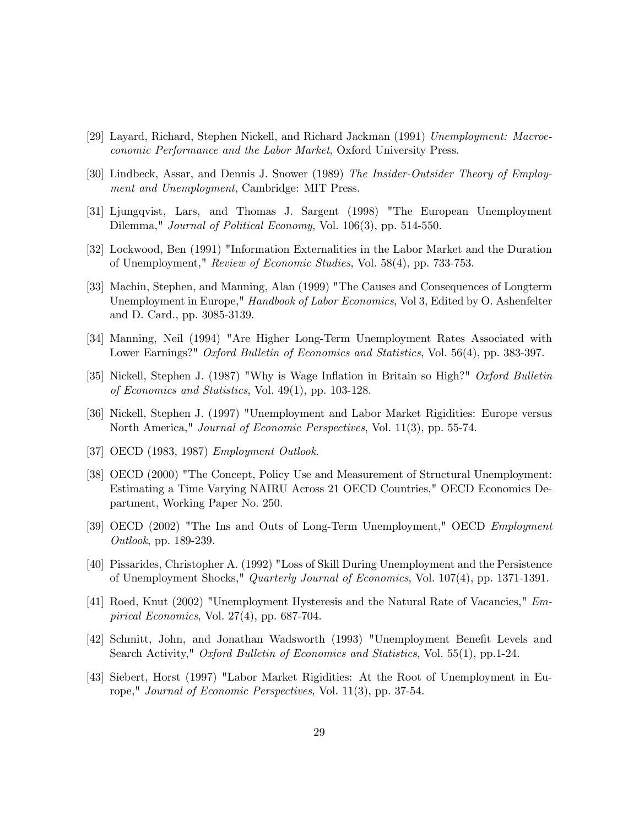- [29] Layard, Richard, Stephen Nickell, and Richard Jackman (1991) Unemployment: Macroeconomic Performance and the Labor Market, Oxford University Press.
- [30] Lindbeck, Assar, and Dennis J. Snower (1989) The Insider-Outsider Theory of Employment and Unemployment, Cambridge: MIT Press.
- [31] Ljungqvist, Lars, and Thomas J. Sargent (1998) "The European Unemployment Dilemma," *Journal of Political Economy*, Vol. 106(3), pp. 514-550.
- [32] Lockwood, Ben (1991) "Information Externalities in the Labor Market and the Duration of Unemployment," Review of Economic Studies, Vol. 58(4), pp. 733-753.
- [33] Machin, Stephen, and Manning, Alan (1999) "The Causes and Consequences of Longterm Unemployment in Europe," Handbook of Labor Economics, Vol 3, Edited by O. Ashenfelter and D. Card., pp. 3085-3139.
- [34] Manning, Neil (1994) "Are Higher Long-Term Unemployment Rates Associated with Lower Earnings?" Oxford Bulletin of Economics and Statistics, Vol. 56(4), pp. 383-397.
- [35] Nickell, Stephen J. (1987) "Why is Wage Inflation in Britain so High?" Oxford Bulletin of Economics and Statistics, Vol. 49(1), pp. 103-128.
- [36] Nickell, Stephen J. (1997) "Unemployment and Labor Market Rigidities: Europe versus North America," Journal of Economic Perspectives, Vol. 11(3), pp. 55-74.
- [37] OECD (1983, 1987) Employment Outlook.
- [38] OECD (2000) "The Concept, Policy Use and Measurement of Structural Unemployment: Estimating a Time Varying NAIRU Across 21 OECD Countries," OECD Economics Department, Working Paper No. 250.
- [39] OECD (2002) "The Ins and Outs of Long-Term Unemployment," OECD Employment Outlook, pp. 189-239.
- [40] Pissarides, Christopher A. (1992) "Loss of Skill During Unemployment and the Persistence of Unemployment Shocks," Quarterly Journal of Economics, Vol. 107(4), pp. 1371-1391.
- [41] Roed, Knut (2002) "Unemployment Hysteresis and the Natural Rate of Vacancies," Empirical Economics, Vol. 27(4), pp. 687-704.
- [42] Schmitt, John, and Jonathan Wadsworth (1993) "Unemployment Benefit Levels and Search Activity," Oxford Bulletin of Economics and Statistics, Vol. 55(1), pp.1-24.
- [43] Siebert, Horst (1997) "Labor Market Rigidities: At the Root of Unemployment in Europe," Journal of Economic Perspectives, Vol. 11(3), pp. 37-54.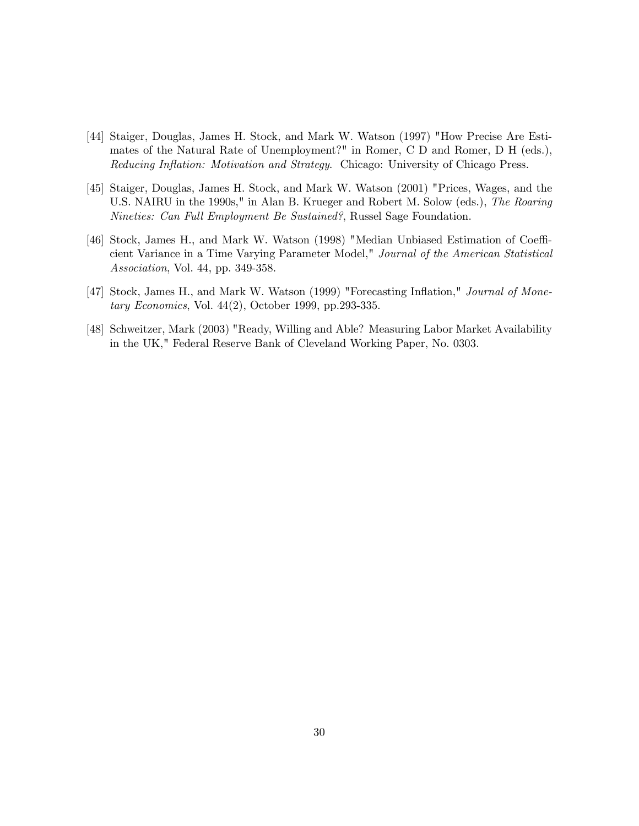- [44] Staiger, Douglas, James H. Stock, and Mark W. Watson (1997) "How Precise Are Estimates of the Natural Rate of Unemployment?" in Romer, C D and Romer, D H (eds.), Reducing Inflation: Motivation and Strategy. Chicago: University of Chicago Press.
- [45] Staiger, Douglas, James H. Stock, and Mark W. Watson (2001) "Prices, Wages, and the U.S. NAIRU in the 1990s," in Alan B. Krueger and Robert M. Solow (eds.), The Roaring Nineties: Can Full Employment Be Sustained?, Russel Sage Foundation.
- [46] Stock, James H., and Mark W. Watson (1998) "Median Unbiased Estimation of Coefficient Variance in a Time Varying Parameter Model," Journal of the American Statistical Association, Vol. 44, pp. 349-358.
- [47] Stock, James H., and Mark W. Watson (1999) "Forecasting Inflation," Journal of Monetary Economics, Vol. 44(2), October 1999, pp.293-335.
- [48] Schweitzer, Mark (2003) "Ready, Willing and Able? Measuring Labor Market Availability in the UK," Federal Reserve Bank of Cleveland Working Paper, No. 0303.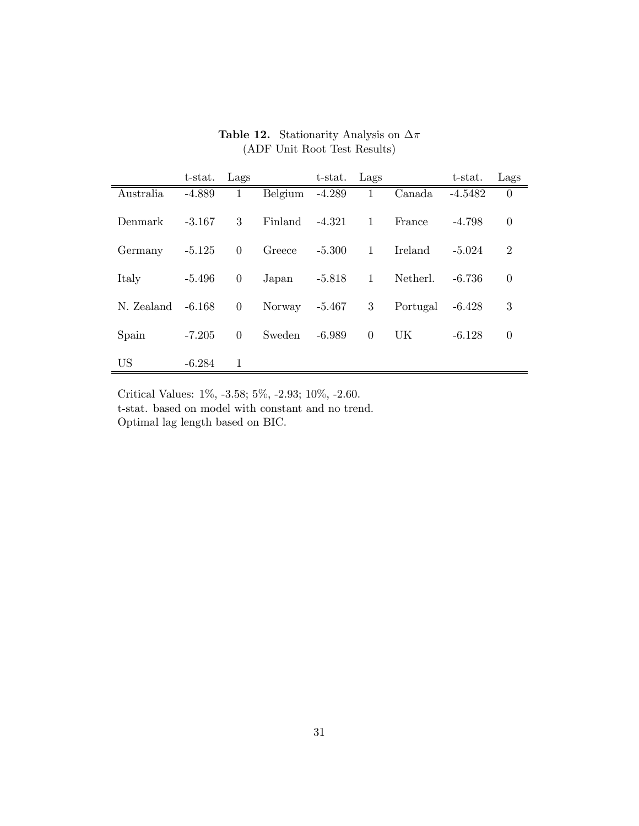|            | $t$ -stat. | Lags           |         | t-stat.  | Lags         |          | t-stat.   | Lags           |
|------------|------------|----------------|---------|----------|--------------|----------|-----------|----------------|
| Australia  | $-4.889$   | 1              | Belgium | $-4.289$ | 1            | Canada   | $-4.5482$ | $\theta$       |
| Denmark    | $-3.167$   | 3              | Finland | $-4.321$ | $\mathbf{1}$ | France   | $-4.798$  | $\theta$       |
| Germany    | $-5.125$   | $\theta$       | Greece  | $-5.300$ | $\mathbf{1}$ | Ireland  | $-5.024$  | $\overline{2}$ |
| Italy      | $-5.496$   | $\overline{0}$ | Japan   | $-5.818$ | $\mathbf{1}$ | Netherl. | $-6.736$  | $\theta$       |
| N. Zealand | $-6.168$   | $\overline{0}$ | Norway  | $-5.467$ | 3            | Portugal | $-6.428$  | 3              |
| Spain      | $-7.205$   | $\overline{0}$ | Sweden  | $-6.989$ | $\Omega$     | UK       | $-6.128$  | $\theta$       |
| <b>US</b>  | $-6.284$   | 1              |         |          |              |          |           |                |

Table 12. Stationarity Analysis on  $\Delta \pi$ (ADF Unit Root Test Results)

Critical Values: 1%, -3.58; 5%, -2.93; 10%, -2.60. t-stat. based on model with constant and no trend. Optimal lag length based on BIC.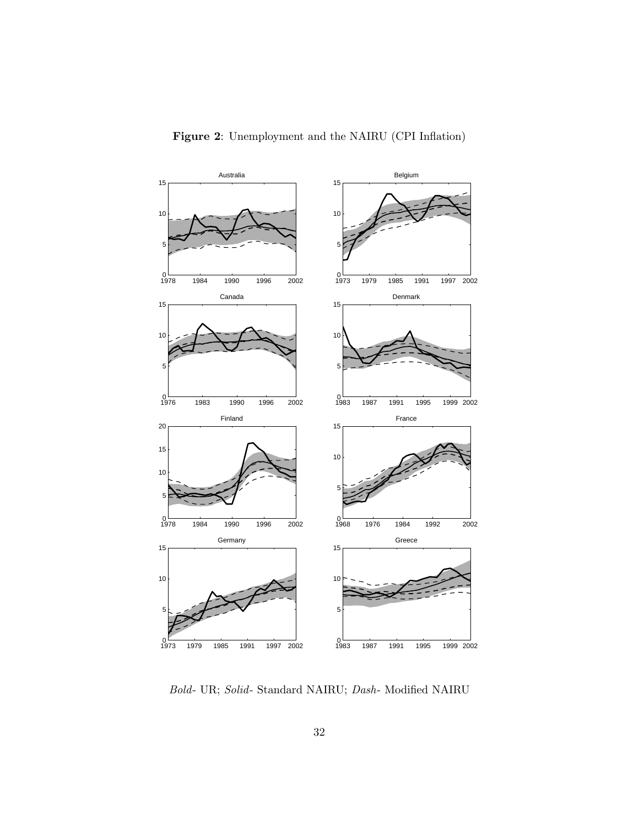![](_page_31_Figure_0.jpeg)

Bold- UR; Solid- Standard NAIRU; Dash- Modified NAIRU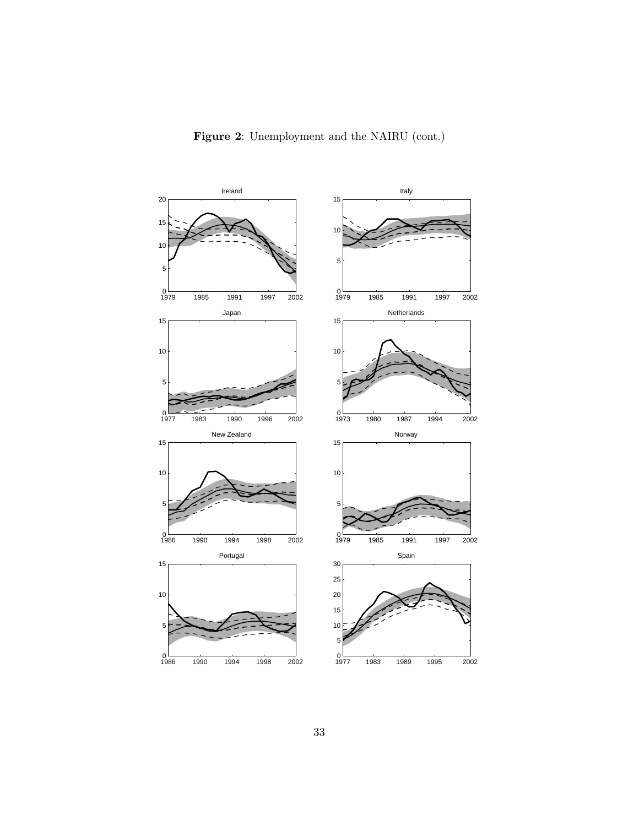![](_page_32_Figure_0.jpeg)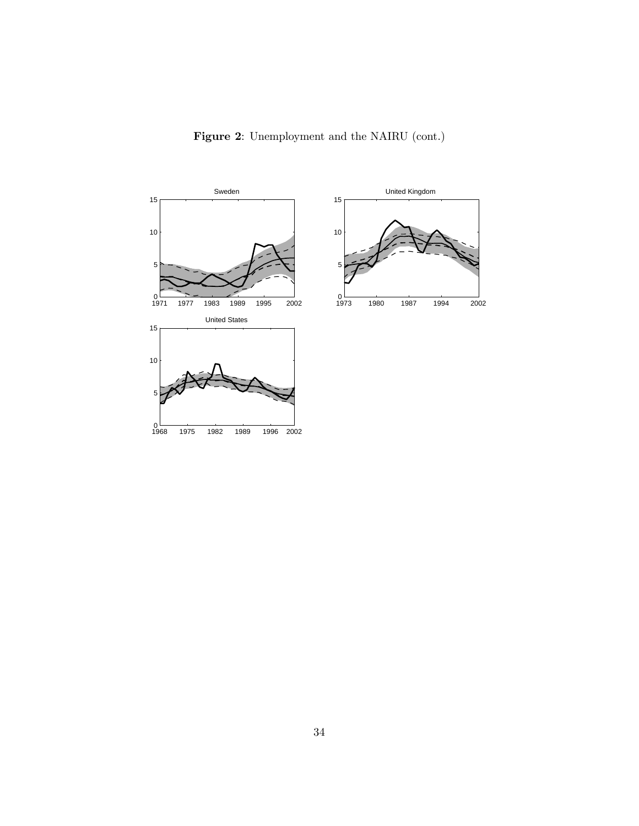![](_page_33_Figure_0.jpeg)

Figure 2: Unemployment and the NAIRU (cont.)